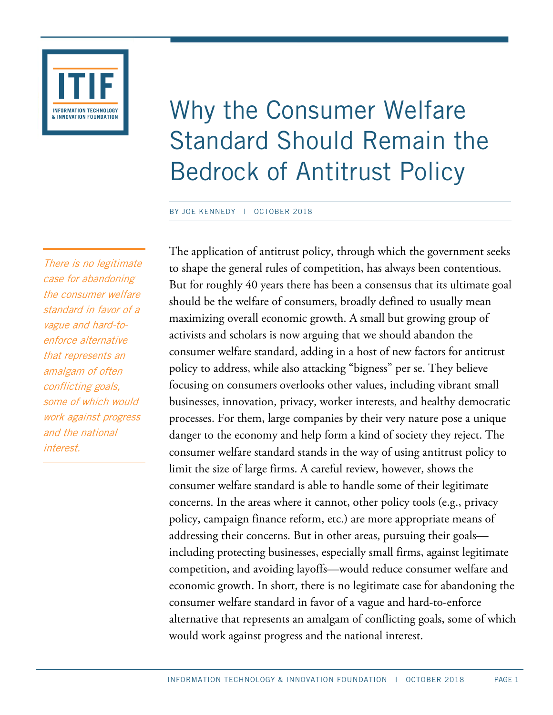

# Why the Consumer Welfare Standard Should Remain the Bedrock of Antitrust Policy

#### BY JOE KENNEDY | OCTOBER 2018

There is no legitimate case for abandoning the consumer welfare standard in favor of a vague and hard-toenforce alternative that represents an amalgam of often conflicting goals, some of which would work against progress and the national interest.

The application of antitrust policy, through which the government seeks to shape the general rules of competition, has always been contentious. But for roughly 40 years there has been a consensus that its ultimate goal should be the welfare of consumers, broadly defined to usually mean maximizing overall economic growth. A small but growing group of activists and scholars is now arguing that we should abandon the consumer welfare standard, adding in a host of new factors for antitrust policy to address, while also attacking "bigness" per se. They believe focusing on consumers overlooks other values, including vibrant small businesses, innovation, privacy, worker interests, and healthy democratic processes. For them, large companies by their very nature pose a unique danger to the economy and help form a kind of society they reject. The consumer welfare standard stands in the way of using antitrust policy to limit the size of large firms. A careful review, however, shows the consumer welfare standard is able to handle some of their legitimate concerns. In the areas where it cannot, other policy tools (e.g., privacy policy, campaign finance reform, etc.) are more appropriate means of addressing their concerns. But in other areas, pursuing their goals including protecting businesses, especially small firms, against legitimate competition, and avoiding layoffs—would reduce consumer welfare and economic growth. In short, there is no legitimate case for abandoning the consumer welfare standard in favor of a vague and hard-to-enforce alternative that represents an amalgam of conflicting goals, some of which would work against progress and the national interest.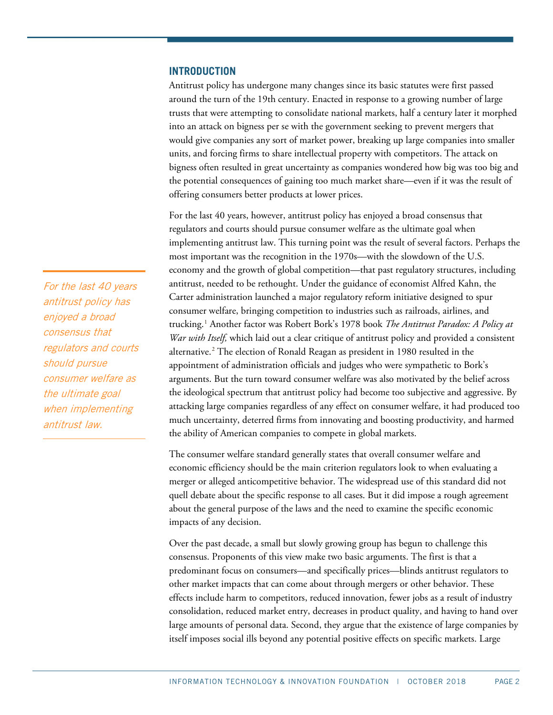### **INTRODUCTION**

Antitrust policy has undergone many changes since its basic statutes were first passed around the turn of the 19th century. Enacted in response to a growing number of large trusts that were attempting to consolidate national markets, half a century later it morphed into an attack on bigness per se with the government seeking to prevent mergers that would give companies any sort of market power, breaking up large companies into smaller units, and forcing firms to share intellectual property with competitors. The attack on bigness often resulted in great uncertainty as companies wondered how big was too big and the potential consequences of gaining too much market share—even if it was the result of offering consumers better products at lower prices.

For the last 40 years, however, antitrust policy has enjoyed a broad consensus that regulators and courts should pursue consumer welfare as the ultimate goal when implementing antitrust law. This turning point was the result of several factors. Perhaps the most important was the recognition in the 1970s—with the slowdown of the U.S. economy and the growth of global competition—that past regulatory structures, including antitrust, needed to be rethought. Under the guidance of economist Alfred Kahn, the Carter administration launched a major regulatory reform initiative designed to spur consumer welfare, bringing competition to industries such as railroads, airlines, and trucking.[1](#page-23-0) Another factor was Robert Bork's 1978 book *The Antitrust Paradox: A Policy at War with Itself,* which laid out a clear critique of antitrust policy and provided a consistent alternative.[2](#page-23-1) The election of Ronald Reagan as president in 1980 resulted in the appointment of administration officials and judges who were sympathetic to Bork's arguments. But the turn toward consumer welfare was also motivated by the belief across the ideological spectrum that antitrust policy had become too subjective and aggressive. By attacking large companies regardless of any effect on consumer welfare, it had produced too much uncertainty, deterred firms from innovating and boosting productivity, and harmed the ability of American companies to compete in global markets.

The consumer welfare standard generally states that overall consumer welfare and economic efficiency should be the main criterion regulators look to when evaluating a merger or alleged anticompetitive behavior. The widespread use of this standard did not quell debate about the specific response to all cases. But it did impose a rough agreement about the general purpose of the laws and the need to examine the specific economic impacts of any decision.

Over the past decade, a small but slowly growing group has begun to challenge this consensus. Proponents of this view make two basic arguments. The first is that a predominant focus on consumers—and specifically prices—blinds antitrust regulators to other market impacts that can come about through mergers or other behavior. These effects include harm to competitors, reduced innovation, fewer jobs as a result of industry consolidation, reduced market entry, decreases in product quality, and having to hand over large amounts of personal data. Second, they argue that the existence of large companies by itself imposes social ills beyond any potential positive effects on specific markets. Large

For the last 40 years antitrust policy has enjoyed a broad consensus that regulators and courts should pursue consumer welfare as the ultimate goal when implementing antitrust law.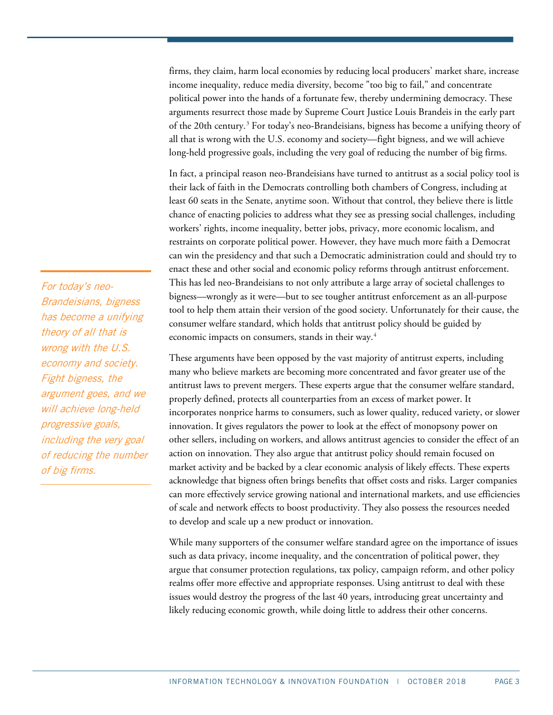firms, they claim, harm local economies by reducing local producers' market share, increase income inequality, reduce media diversity, become "too big to fail," and concentrate political power into the hands of a fortunate few, thereby undermining democracy. These arguments resurrect those made by Supreme Court Justice Louis Brandeis in the early part of the 20th century. [3](#page-23-2) For today's neo-Brandeisians, bigness has become a unifying theory of all that is wrong with the U.S. economy and society—fight bigness, and we will achieve long-held progressive goals, including the very goal of reducing the number of big firms.

In fact, a principal reason neo-Brandeisians have turned to antitrust as a social policy tool is their lack of faith in the Democrats controlling both chambers of Congress, including at least 60 seats in the Senate, anytime soon. Without that control, they believe there is little chance of enacting policies to address what they see as pressing social challenges, including workers' rights, income inequality, better jobs, privacy, more economic localism, and restraints on corporate political power. However, they have much more faith a Democrat can win the presidency and that such a Democratic administration could and should try to enact these and other social and economic policy reforms through antitrust enforcement. This has led neo-Brandeisians to not only attribute a large array of societal challenges to bigness—wrongly as it were—but to see tougher antitrust enforcement as an all-purpose tool to help them attain their version of the good society. Unfortunately for their cause, the consumer welfare standard, which holds that antitrust policy should be guided by economic impacts on consumers, stands in their way.<sup>[4](#page-23-3)</sup>

These arguments have been opposed by the vast majority of antitrust experts, including many who believe markets are becoming more concentrated and favor greater use of the antitrust laws to prevent mergers. These experts argue that the consumer welfare standard, properly defined, protects all counterparties from an excess of market power. It incorporates nonprice harms to consumers, such as lower quality, reduced variety, or slower innovation. It gives regulators the power to look at the effect of monopsony power on other sellers, including on workers, and allows antitrust agencies to consider the effect of an action on innovation. They also argue that antitrust policy should remain focused on market activity and be backed by a clear economic analysis of likely effects. These experts acknowledge that bigness often brings benefits that offset costs and risks. Larger companies can more effectively service growing national and international markets, and use efficiencies of scale and network effects to boost productivity. They also possess the resources needed to develop and scale up a new product or innovation.

While many supporters of the consumer welfare standard agree on the importance of issues such as data privacy, income inequality, and the concentration of political power, they argue that consumer protection regulations, tax policy, campaign reform, and other policy realms offer more effective and appropriate responses. Using antitrust to deal with these issues would destroy the progress of the last 40 years, introducing great uncertainty and likely reducing economic growth, while doing little to address their other concerns.

For today's neo-Brandeisians, bigness has become a unifying theory of all that is wrong with the U.S. economy and society. Fight bigness, the argument goes, and we will achieve long-held progressive goals, including the very goal of reducing the number of big firms.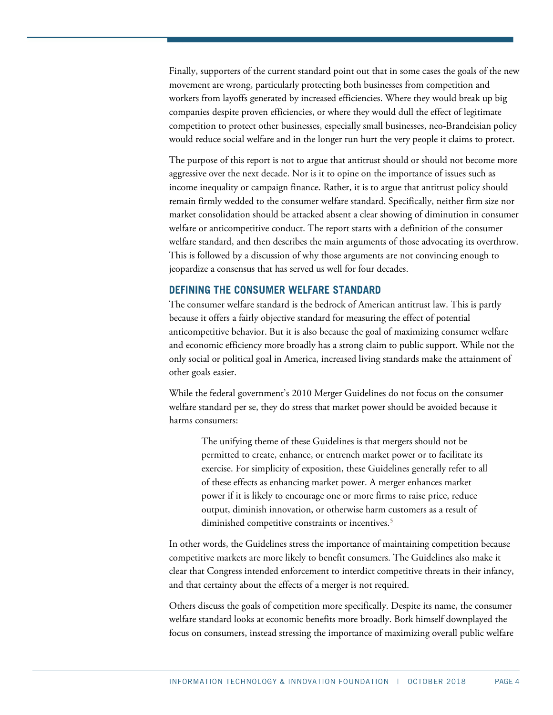Finally, supporters of the current standard point out that in some cases the goals of the new movement are wrong, particularly protecting both businesses from competition and workers from layoffs generated by increased efficiencies. Where they would break up big companies despite proven efficiencies, or where they would dull the effect of legitimate competition to protect other businesses, especially small businesses, neo-Brandeisian policy would reduce social welfare and in the longer run hurt the very people it claims to protect.

The purpose of this report is not to argue that antitrust should or should not become more aggressive over the next decade. Nor is it to opine on the importance of issues such as income inequality or campaign finance. Rather, it is to argue that antitrust policy should remain firmly wedded to the consumer welfare standard. Specifically, neither firm size nor market consolidation should be attacked absent a clear showing of diminution in consumer welfare or anticompetitive conduct. The report starts with a definition of the consumer welfare standard, and then describes the main arguments of those advocating its overthrow. This is followed by a discussion of why those arguments are not convincing enough to jeopardize a consensus that has served us well for four decades.

## **DEFINING THE CONSUMER WELFARE STANDARD**

The consumer welfare standard is the bedrock of American antitrust law. This is partly because it offers a fairly objective standard for measuring the effect of potential anticompetitive behavior. But it is also because the goal of maximizing consumer welfare and economic efficiency more broadly has a strong claim to public support. While not the only social or political goal in America, increased living standards make the attainment of other goals easier.

While the federal government's 2010 Merger Guidelines do not focus on the consumer welfare standard per se, they do stress that market power should be avoided because it harms consumers:

The unifying theme of these Guidelines is that mergers should not be permitted to create, enhance, or entrench market power or to facilitate its exercise. For simplicity of exposition, these Guidelines generally refer to all of these effects as enhancing market power. A merger enhances market power if it is likely to encourage one or more firms to raise price, reduce output, diminish innovation, or otherwise harm customers as a result of diminished competitive constraints or incentives.<sup>[5](#page-23-4)</sup>

In other words, the Guidelines stress the importance of maintaining competition because competitive markets are more likely to benefit consumers. The Guidelines also make it clear that Congress intended enforcement to interdict competitive threats in their infancy, and that certainty about the effects of a merger is not required.

Others discuss the goals of competition more specifically. Despite its name, the consumer welfare standard looks at economic benefits more broadly. Bork himself downplayed the focus on consumers, instead stressing the importance of maximizing overall public welfare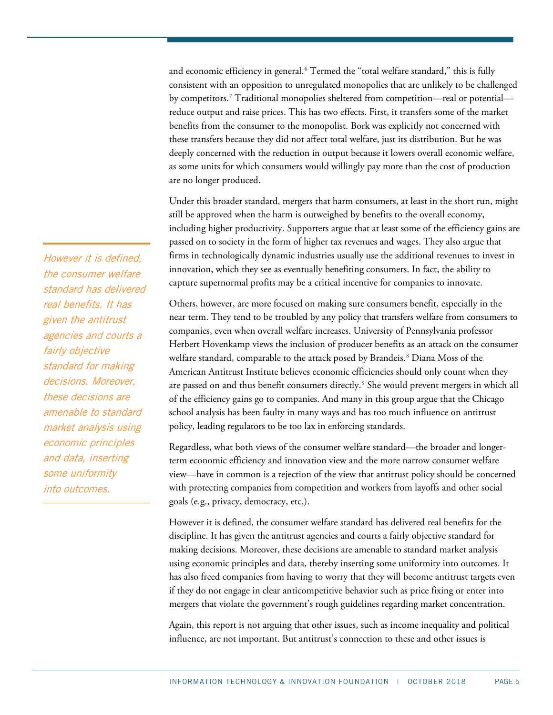and economic efficiency in general.<sup>[6](#page-23-5)</sup> Termed the "total welfare standard," this is fully consistent with an opposition to unregulated monopolies that are unlikely to be challenged by competitors. [7](#page-23-6) Traditional monopolies sheltered from competition—real or potential reduce output and raise prices. This has two effects. First, it transfers some of the market benefits from the consumer to the monopolist. Bork was explicitly not concerned with these transfers because they did not affect total welfare, just its distribution. But he was deeply concerned with the reduction in output because it lowers overall economic welfare, as some units for which consumers would willingly pay more than the cost of production are no longer produced.

Under this broader standard, mergers that harm consumers, at least in the short run, might still be approved when the harm is outweighed by benefits to the overall economy, including higher productivity. Supporters argue that at least some of the efficiency gains are passed on to society in the form of higher tax revenues and wages. They also argue that firms in technologically dynamic industries usually use the additional revenues to invest in innovation, which they see as eventually benefiting consumers. In fact, the ability to capture supernormal profits may be a critical incentive for companies to innovate.

Others, however, are more focused on making sure consumers benefit, especially in the near term. They tend to be troubled by any policy that transfers welfare from consumers to companies, even when overall welfare increases. University of Pennsylvania professor Herbert Hovenkamp views the inclusion of producer benefits as an attack on the consumer welfare standard, comparable to the attack posed by Brandeis. [8](#page-23-7) Diana Moss of the American Antitrust Institute believes economic efficiencies should only count when they are passed on and thus benefit consumers directly. [9](#page-23-8) She would prevent mergers in which all of the efficiency gains go to companies. And many in this group argue that the Chicago school analysis has been faulty in many ways and has too much influence on antitrust policy, leading regulators to be too lax in enforcing standards.

Regardless, what both views of the consumer welfare standard—the broader and longerterm economic efficiency and innovation view and the more narrow consumer welfare view—have in common is a rejection of the view that antitrust policy should be concerned with protecting companies from competition and workers from layoffs and other social goals (e.g., privacy, democracy, etc.).

However it is defined, the consumer welfare standard has delivered real benefits for the discipline. It has given the antitrust agencies and courts a fairly objective standard for making decisions. Moreover, these decisions are amenable to standard market analysis using economic principles and data, thereby inserting some uniformity into outcomes. It has also freed companies from having to worry that they will become antitrust targets even if they do not engage in clear anticompetitive behavior such as price fixing or enter into mergers that violate the government's rough guidelines regarding market concentration.

Again, this report is not arguing that other issues, such as income inequality and political influence, are not important. But antitrust's connection to these and other issues is

However it is defined, the consumer welfare standard has delivered real benefits. It has given the antitrust agencies and courts a fairly objective standard for making decisions. Moreover, these decisions are amenable to standard market analysis using economic principles and data, inserting some uniformity into outcomes.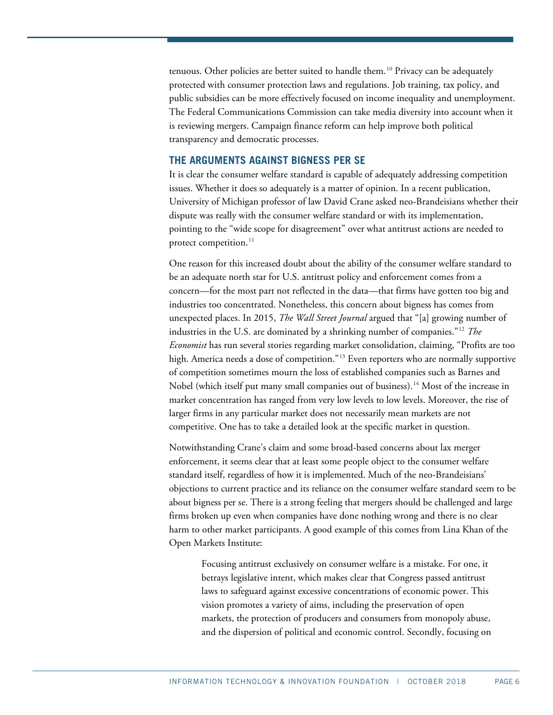tenuous. Other policies are better suited to handle them. [10](#page-23-9) Privacy can be adequately protected with consumer protection laws and regulations. Job training, tax policy, and public subsidies can be more effectively focused on income inequality and unemployment. The Federal Communications Commission can take media diversity into account when it is reviewing mergers. Campaign finance reform can help improve both political transparency and democratic processes.

## **THE ARGUMENTS AGAINST BIGNESS PER SE**

It is clear the consumer welfare standard is capable of adequately addressing competition issues. Whether it does so adequately is a matter of opinion. In a recent publication, University of Michigan professor of law David Crane asked neo-Brandeisians whether their dispute was really with the consumer welfare standard or with its implementation, pointing to the "wide scope for disagreement" over what antitrust actions are needed to protect competition.<sup>[11](#page-23-10)</sup>

One reason for this increased doubt about the ability of the consumer welfare standard to be an adequate north star for U.S. antitrust policy and enforcement comes from a concern—for the most part not reflected in the data—that firms have gotten too big and industries too concentrated. Nonetheless, this concern about bigness has comes from unexpected places. In 2015, *The Wall Street Journal* argued that "[a] growing number of industries in the U.S. are dominated by a shrinking number of companies."[12](#page-23-11) *The Economist* has run several stories regarding market consolidation, claiming, "Profits are too high. America needs a dose of competition."<sup>[13](#page-23-12)</sup> Even reporters who are normally supportive of competition sometimes mourn the loss of established companies such as Barnes and Nobel (which itself put many small companies out of business).[14](#page-23-13) Most of the increase in market concentration has ranged from very low levels to low levels. Moreover, the rise of larger firms in any particular market does not necessarily mean markets are not competitive. One has to take a detailed look at the specific market in question.

Notwithstanding Crane's claim and some broad-based concerns about lax merger enforcement, it seems clear that at least some people object to the consumer welfare standard itself, regardless of how it is implemented. Much of the neo-Brandeisians' objections to current practice and its reliance on the consumer welfare standard seem to be about bigness per se. There is a strong feeling that mergers should be challenged and large firms broken up even when companies have done nothing wrong and there is no clear harm to other market participants. A good example of this comes from Lina Khan of the Open Markets Institute:

Focusing antitrust exclusively on consumer welfare is a mistake. For one, it betrays legislative intent, which makes clear that Congress passed antitrust laws to safeguard against excessive concentrations of economic power. This vision promotes a variety of aims, including the preservation of open markets, the protection of producers and consumers from monopoly abuse, and the dispersion of political and economic control. Secondly, focusing on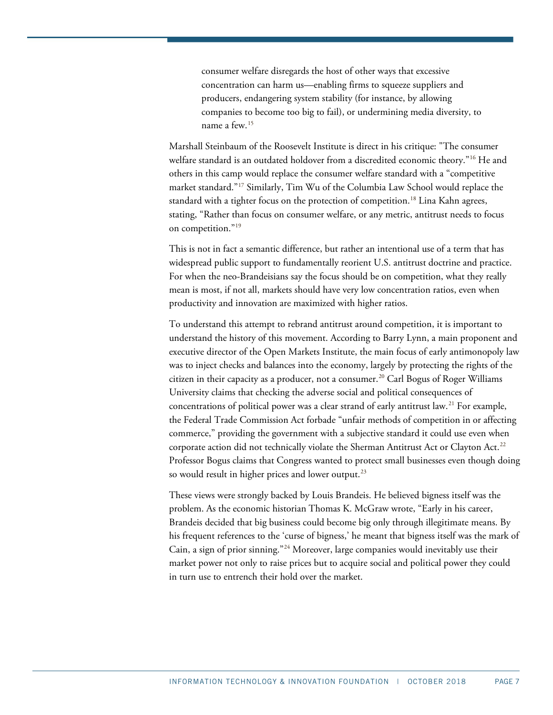consumer welfare disregards the host of other ways that excessive concentration can harm us—enabling firms to squeeze suppliers and producers, endangering system stability (for instance, by allowing companies to become too big to fail), or undermining media diversity, to name a few.[15](#page-23-14)

Marshall Steinbaum of the Roosevelt Institute is direct in his critique: "The consumer welfare standard is an outdated holdover from a discredited economic theory."[16](#page-23-15) He and others in this camp would replace the consumer welfare standard with a "competitive market standard."[17](#page-23-16) Similarly, Tim Wu of the Columbia Law School would replace the standard with a tighter focus on the protection of competition.<sup>18</sup> Lina Kahn agrees, stating, "Rather than focus on consumer welfare, or any metric, antitrust needs to focus on competition."<sup>[19](#page-24-0)</sup>

This is not in fact a semantic difference, but rather an intentional use of a term that has widespread public support to fundamentally reorient U.S. antitrust doctrine and practice. For when the neo-Brandeisians say the focus should be on competition, what they really mean is most, if not all, markets should have very low concentration ratios, even when productivity and innovation are maximized with higher ratios.

To understand this attempt to rebrand antitrust around competition, it is important to understand the history of this movement. According to Barry Lynn, a main proponent and executive director of the Open Markets Institute, the main focus of early antimonopoly law was to inject checks and balances into the economy, largely by protecting the rights of the citizen in their capacity as a producer, not a consumer.<sup>20</sup> Carl Bogus of Roger Williams University claims that checking the adverse social and political consequences of concentrations of political power was a clear strand of early antitrust law.[21](#page-24-2) For example, the Federal Trade Commission Act forbade "unfair methods of competition in or affecting commerce," providing the government with a subjective standard it could use even when corporate action did not technically violate the Sherman Antitrust Act or Clayton Act.<sup>[22](#page-24-3)</sup> Professor Bogus claims that Congress wanted to protect small businesses even though doing so would result in higher prices and lower output.<sup>[23](#page-24-4)</sup>

These views were strongly backed by Louis Brandeis. He believed bigness itself was the problem. As the economic historian Thomas K. McGraw wrote, "Early in his career, Brandeis decided that big business could become big only through illegitimate means. By his frequent references to the 'curse of bigness,' he meant that bigness itself was the mark of Cain, a sign of prior sinning."<sup>[24](#page-24-5)</sup> Moreover, large companies would inevitably use their market power not only to raise prices but to acquire social and political power they could in turn use to entrench their hold over the market.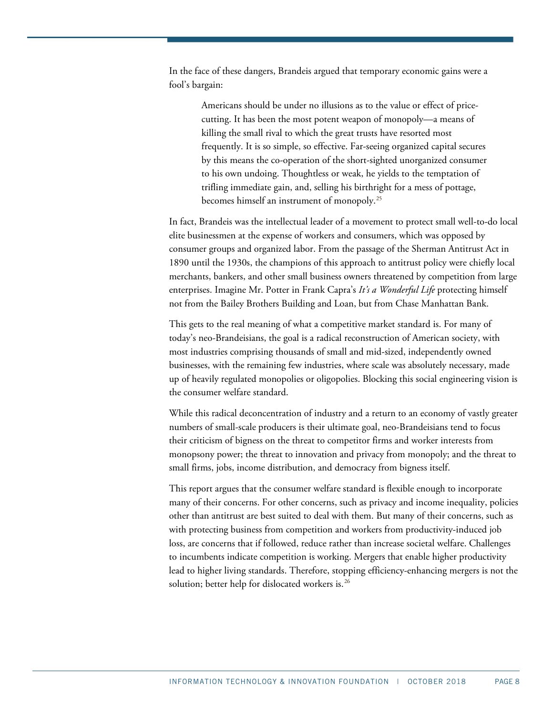In the face of these dangers, Brandeis argued that temporary economic gains were a fool's bargain:

> Americans should be under no illusions as to the value or effect of pricecutting. It has been the most potent weapon of monopoly—a means of killing the small rival to which the great trusts have resorted most frequently. It is so simple, so effective. Far-seeing organized capital secures by this means the co-operation of the short-sighted unorganized consumer to his own undoing. Thoughtless or weak, he yields to the temptation of trifling immediate gain, and, selling his birthright for a mess of pottage, becomes himself an instrument of monopoly.[25](#page-24-6)

In fact, Brandeis was the intellectual leader of a movement to protect small well-to-do local elite businessmen at the expense of workers and consumers, which was opposed by consumer groups and organized labor. From the passage of the Sherman Antitrust Act in 1890 until the 1930s, the champions of this approach to antitrust policy were chiefly local merchants, bankers, and other small business owners threatened by competition from large enterprises. Imagine Mr. Potter in Frank Capra's *It's a Wonderful Life* protecting himself not from the Bailey Brothers Building and Loan, but from Chase Manhattan Bank.

This gets to the real meaning of what a competitive market standard is. For many of today's neo-Brandeisians, the goal is a radical reconstruction of American society, with most industries comprising thousands of small and mid-sized, independently owned businesses, with the remaining few industries, where scale was absolutely necessary, made up of heavily regulated monopolies or oligopolies. Blocking this social engineering vision is the consumer welfare standard.

While this radical deconcentration of industry and a return to an economy of vastly greater numbers of small-scale producers is their ultimate goal, neo-Brandeisians tend to focus their criticism of bigness on the threat to competitor firms and worker interests from monopsony power; the threat to innovation and privacy from monopoly; and the threat to small firms, jobs, income distribution, and democracy from bigness itself.

This report argues that the consumer welfare standard is flexible enough to incorporate many of their concerns. For other concerns, such as privacy and income inequality, policies other than antitrust are best suited to deal with them. But many of their concerns, such as with protecting business from competition and workers from productivity-induced job loss, are concerns that if followed, reduce rather than increase societal welfare. Challenges to incumbents indicate competition is working. Mergers that enable higher productivity lead to higher living standards. Therefore, stopping efficiency-enhancing mergers is not the solution; better help for dislocated workers is.<sup>[26](#page-24-7)</sup>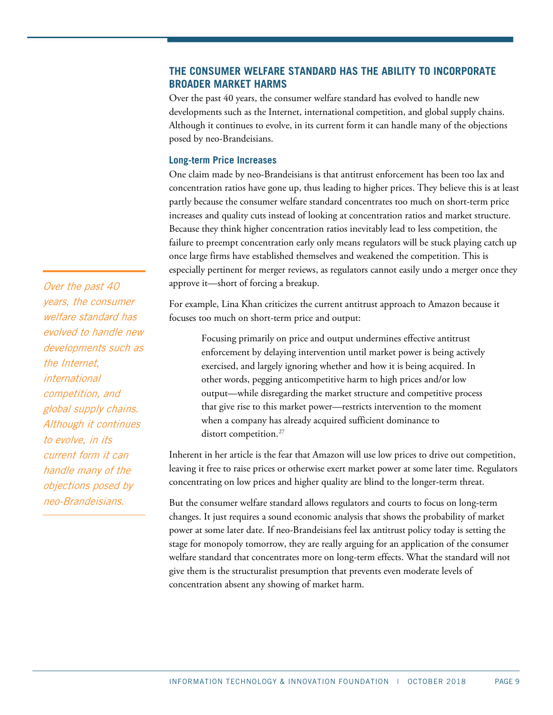# **THE CONSUMER WELFARE STANDARD HAS THE ABILITY TO INCORPORATE BROADER MARKET HARMS**

Over the past 40 years, the consumer welfare standard has evolved to handle new developments such as the Internet, international competition, and global supply chains. Although it continues to evolve, in its current form it can handle many of the objections posed by neo-Brandeisians.

## **Long-term Price Increases**

One claim made by neo-Brandeisians is that antitrust enforcement has been too lax and concentration ratios have gone up, thus leading to higher prices. They believe this is at least partly because the consumer welfare standard concentrates too much on short-term price increases and quality cuts instead of looking at concentration ratios and market structure. Because they think higher concentration ratios inevitably lead to less competition, the failure to preempt concentration early only means regulators will be stuck playing catch up once large firms have established themselves and weakened the competition. This is especially pertinent for merger reviews, as regulators cannot easily undo a merger once they approve it—short of forcing a breakup.

For example, Lina Khan criticizes the current antitrust approach to Amazon because it focuses too much on short-term price and output:

Focusing primarily on price and output undermines effective antitrust enforcement by delaying intervention until market power is being actively exercised, and largely ignoring whether and how it is being acquired. In other words, pegging anticompetitive harm to high prices and/or low output—while disregarding the market structure and competitive process that give rise to this market power—restricts intervention to the moment when a company has already acquired sufficient dominance to distort competition.<sup>[27](#page-24-8)</sup>

Inherent in her article is the fear that Amazon will use low prices to drive out competition, leaving it free to raise prices or otherwise exert market power at some later time. Regulators concentrating on low prices and higher quality are blind to the longer-term threat.

But the consumer welfare standard allows regulators and courts to focus on long-term changes. It just requires a sound economic analysis that shows the probability of market power at some later date. If neo-Brandeisians feel lax antitrust policy today is setting the stage for monopoly tomorrow, they are really arguing for an application of the consumer welfare standard that concentrates more on long-term effects. What the standard will not give them is the structuralist presumption that prevents even moderate levels of concentration absent any showing of market harm.

Over the past 40 years, the consumer welfare standard has evolved to handle new developments such as the Internet, international competition, and global supply chains. Although it continues to evolve, in its current form it can handle many of the objections posed by neo-Brandeisians.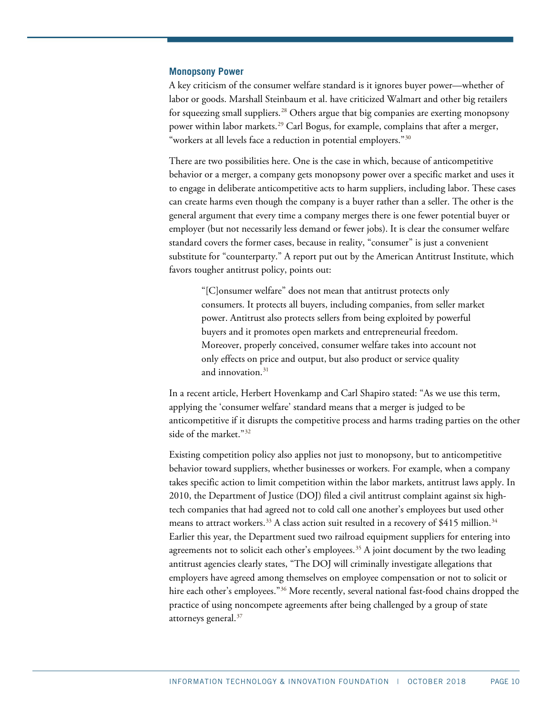#### **Monopsony Power**

A key criticism of the consumer welfare standard is it ignores buyer power—whether of labor or goods. Marshall Steinbaum et al. have criticized Walmart and other big retailers for squeezing small suppliers.[28](#page-24-9) Others argue that big companies are exerting monopsony power within labor markets.[29](#page-24-10) Carl Bogus, for example, complains that after a merger, "workers at all levels face a reduction in potential employers."[30](#page-24-11)

There are two possibilities here. One is the case in which, because of anticompetitive behavior or a merger, a company gets monopsony power over a specific market and uses it to engage in deliberate anticompetitive acts to harm suppliers, including labor. These cases can create harms even though the company is a buyer rather than a seller. The other is the general argument that every time a company merges there is one fewer potential buyer or employer (but not necessarily less demand or fewer jobs). It is clear the consumer welfare standard covers the former cases, because in reality, "consumer" is just a convenient substitute for "counterparty." A report put out by the American Antitrust Institute, which favors tougher antitrust policy, points out:

"[C]onsumer welfare" does not mean that antitrust protects only consumers. It protects all buyers, including companies, from seller market power. Antitrust also protects sellers from being exploited by powerful buyers and it promotes open markets and entrepreneurial freedom. Moreover, properly conceived, consumer welfare takes into account not only effects on price and output, but also product or service quality and innovation. $31$ 

In a recent article, Herbert Hovenkamp and Carl Shapiro stated: "As we use this term, applying the 'consumer welfare' standard means that a merger is judged to be anticompetitive if it disrupts the competitive process and harms trading parties on the other side of the market."[32](#page-24-13)

Existing competition policy also applies not just to monopsony, but to anticompetitive behavior toward suppliers, whether businesses or workers. For example, when a company takes specific action to limit competition within the labor markets, antitrust laws apply. In 2010, the Department of Justice (DOJ) filed a civil antitrust complaint against six hightech companies that had agreed not to cold call one another's employees but used other means to attract workers.<sup>[33](#page-24-14)</sup> A class action suit resulted in a recovery of \$415 million.<sup>34</sup> Earlier this year, the Department sued two railroad equipment suppliers for entering into agreements not to solicit each other's employees.<sup>[35](#page-24-16)</sup> A joint document by the two leading antitrust agencies clearly states, "The DOJ will criminally investigate allegations that employers have agreed among themselves on employee compensation or not to solicit or hire each other's employees."<sup>[36](#page-24-17)</sup> More recently, several national fast-food chains dropped the practice of using noncompete agreements after being challenged by a group of state attorneys general. [37](#page-25-0)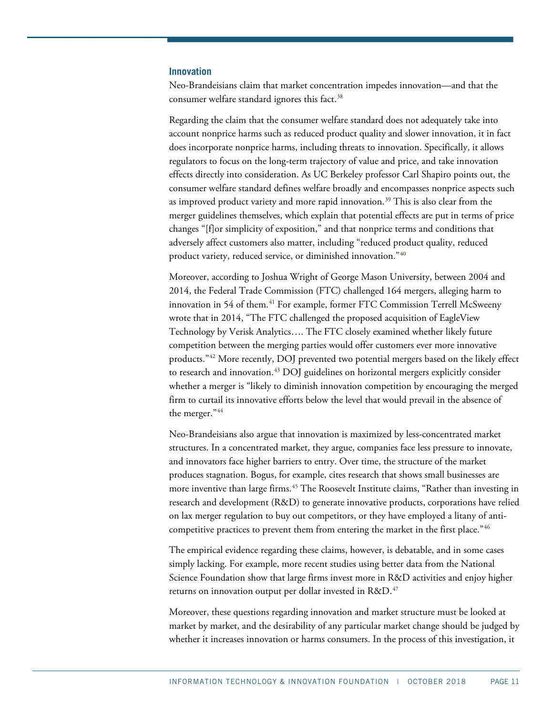#### **Innovation**

Neo-Brandeisians claim that market concentration impedes innovation—and that the consumer welfare standard ignores this fact. [38](#page-25-1)

Regarding the claim that the consumer welfare standard does not adequately take into account nonprice harms such as reduced product quality and slower innovation, it in fact does incorporate nonprice harms, including threats to innovation. Specifically, it allows regulators to focus on the long-term trajectory of value and price, and take innovation effects directly into consideration. As UC Berkeley professor Carl Shapiro points out, the consumer welfare standard defines welfare broadly and encompasses nonprice aspects such as improved product variety and more rapid innovation.<sup>39</sup> This is also clear from the merger guidelines themselves, which explain that potential effects are put in terms of price changes "[f]or simplicity of exposition," and that nonprice terms and conditions that adversely affect customers also matter, including "reduced product quality, reduced product variety, reduced service, or diminished innovation."[40](#page-25-3)

Moreover, according to Joshua Wright of George Mason University, between 2004 and 2014, the Federal Trade Commission (FTC) challenged 164 mergers, alleging harm to innovation in 54 of them.<sup>[41](#page-25-4)</sup> For example, former FTC Commission Terrell McSweeny wrote that in 2014, "The FTC challenged the proposed acquisition of EagleView Technology by Verisk Analytics…. The FTC closely examined whether likely future competition between the merging parties would offer customers ever more innovative products."[42](#page-25-5) More recently, DOJ prevented two potential mergers based on the likely effect to research and innovation. [43](#page-25-6) DOJ guidelines on horizontal mergers explicitly consider whether a merger is "likely to diminish innovation competition by encouraging the merged firm to curtail its innovative efforts below the level that would prevail in the absence of the merger."[44](#page-25-7)

Neo-Brandeisians also argue that innovation is maximized by less-concentrated market structures. In a concentrated market, they argue, companies face less pressure to innovate, and innovators face higher barriers to entry. Over time, the structure of the market produces stagnation. Bogus, for example, cites research that shows small businesses are more inventive than large firms.<sup>[45](#page-25-8)</sup> The Roosevelt Institute claims, "Rather than investing in research and development (R&D) to generate innovative products, corporations have relied on lax merger regulation to buy out competitors, or they have employed a litany of anti-competitive practices to prevent them from entering the market in the first place."<sup>[46](#page-25-9)</sup>

The empirical evidence regarding these claims, however, is debatable, and in some cases simply lacking. For example, more recent studies using better data from the National Science Foundation show that large firms invest more in R&D activities and enjoy higher returns on innovation output per dollar invested in R&D.<sup>[47](#page-25-10)</sup>

Moreover, these questions regarding innovation and market structure must be looked at market by market, and the desirability of any particular market change should be judged by whether it increases innovation or harms consumers. In the process of this investigation, it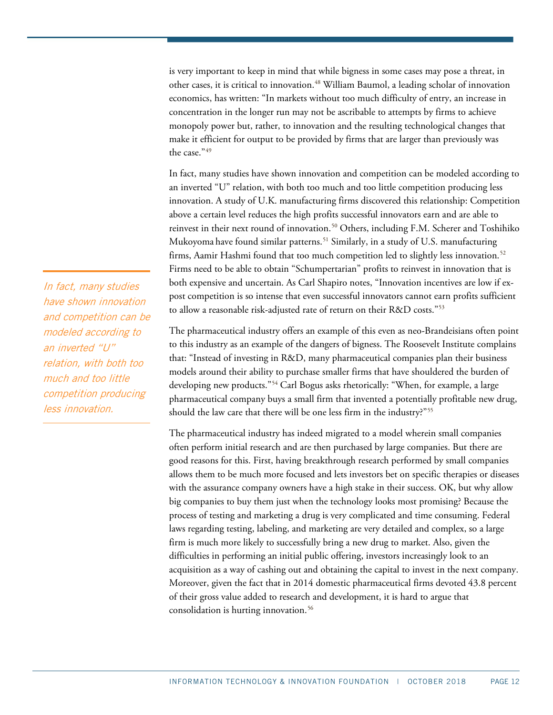is very important to keep in mind that while bigness in some cases may pose a threat, in other cases, it is critical to innovation.<sup>[48](#page-25-11)</sup> William Baumol, a leading scholar of innovation economics, has written: "In markets without too much difficulty of entry, an increase in concentration in the longer run may not be ascribable to attempts by firms to achieve monopoly power but, rather, to innovation and the resulting technological changes that make it efficient for output to be provided by firms that are larger than previously was the case."[49](#page-25-12)

In fact, many studies have shown innovation and competition can be modeled according to an inverted "U" relation, with both too much and too little competition producing less innovation. A study of U.K. manufacturing firms discovered this relationship: Competition above a certain level reduces the high profits successful innovators earn and are able to reinvest in their next round of innovation. [50](#page-25-13) Others, including F.M. Scherer and Toshihiko Mukoyoma have found similar patterns.<sup>51</sup> Similarly, in a study of U.S. manufacturing firms, Aamir Hashmi found that too much competition led to slightly less innovation.<sup>[52](#page-25-15)</sup> Firms need to be able to obtain "Schumpertarian" profits to reinvest in innovation that is both expensive and uncertain. As Carl Shapiro notes, "Innovation incentives are low if expost competition is so intense that even successful innovators cannot earn profits sufficient to allow a reasonable risk-adjusted rate of return on their R&D costs."[53](#page-25-16)

The pharmaceutical industry offers an example of this even as neo-Brandeisians often point to this industry as an example of the dangers of bigness. The Roosevelt Institute complains that: "Instead of investing in R&D, many pharmaceutical companies plan their business models around their ability to purchase smaller firms that have shouldered the burden of developing new products."[54](#page-25-17) Carl Bogus asks rhetorically: "When, for example, a large pharmaceutical company buys a small firm that invented a potentially profitable new drug, should the law care that there will be one less firm in the industry?"<sup>55</sup>

The pharmaceutical industry has indeed migrated to a model wherein small companies often perform initial research and are then purchased by large companies. But there are good reasons for this. First, having breakthrough research performed by small companies allows them to be much more focused and lets investors bet on specific therapies or diseases with the assurance company owners have a high stake in their success. OK, but why allow big companies to buy them just when the technology looks most promising? Because the process of testing and marketing a drug is very complicated and time consuming. Federal laws regarding testing, labeling, and marketing are very detailed and complex, so a large firm is much more likely to successfully bring a new drug to market. Also, given the difficulties in performing an initial public offering, investors increasingly look to an acquisition as a way of cashing out and obtaining the capital to invest in the next company. Moreover, given the fact that in 2014 domestic pharmaceutical firms devoted 43.8 percent of their gross value added to research and development, it is hard to argue that consolidation is hurting innovation.<sup>[56](#page-25-19)</sup>

In fact, many studies have shown innovation and competition can be modeled according to an inverted "U" relation, with both too much and too little competition producing less innovation.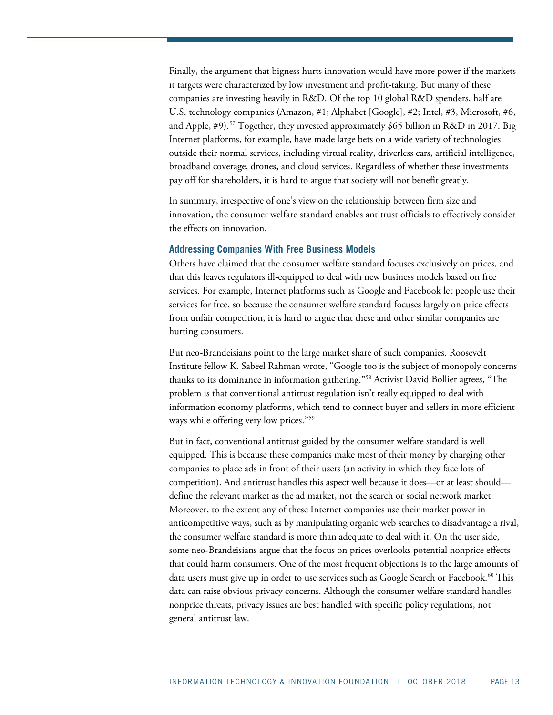Finally, the argument that bigness hurts innovation would have more power if the markets it targets were characterized by low investment and profit-taking. But many of these companies are investing heavily in R&D. Of the top 10 global R&D spenders, half are U.S. technology companies (Amazon, #1; Alphabet [Google], #2; Intel, #3, Microsoft, #6, and Apple, #9).[57](#page-26-0) Together, they invested approximately \$65 billion in R&D in 2017. Big Internet platforms, for example, have made large bets on a wide variety of technologies outside their normal services, including virtual reality, driverless cars, artificial intelligence, broadband coverage, drones, and cloud services. Regardless of whether these investments pay off for shareholders, it is hard to argue that society will not benefit greatly.

In summary, irrespective of one's view on the relationship between firm size and innovation, the consumer welfare standard enables antitrust officials to effectively consider the effects on innovation.

#### **Addressing Companies With Free Business Models**

Others have claimed that the consumer welfare standard focuses exclusively on prices, and that this leaves regulators ill-equipped to deal with new business models based on free services. For example, Internet platforms such as Google and Facebook let people use their services for free, so because the consumer welfare standard focuses largely on price effects from unfair competition, it is hard to argue that these and other similar companies are hurting consumers.

But neo-Brandeisians point to the large market share of such companies. Roosevelt Institute fellow K. Sabeel Rahman wrote, "Google too is the subject of monopoly concerns thanks to its dominance in information gathering."[58](#page-26-1) Activist David Bollier agrees, "The problem is that conventional antitrust regulation isn't really equipped to deal with information economy platforms, which tend to connect buyer and sellers in more efficient ways while offering very low prices."<sup>[59](#page-26-2)</sup>

But in fact, conventional antitrust guided by the consumer welfare standard is well equipped. This is because these companies make most of their money by charging other companies to place ads in front of their users (an activity in which they face lots of competition). And antitrust handles this aspect well because it does—or at least should define the relevant market as the ad market, not the search or social network market. Moreover, to the extent any of these Internet companies use their market power in anticompetitive ways, such as by manipulating organic web searches to disadvantage a rival, the consumer welfare standard is more than adequate to deal with it. On the user side, some neo-Brandeisians argue that the focus on prices overlooks potential nonprice effects that could harm consumers. One of the most frequent objections is to the large amounts of data users must give up in order to use services such as Google Search or Facebook.<sup>[60](#page-26-3)</sup> This data can raise obvious privacy concerns. Although the consumer welfare standard handles nonprice threats, privacy issues are best handled with specific policy regulations, not general antitrust law.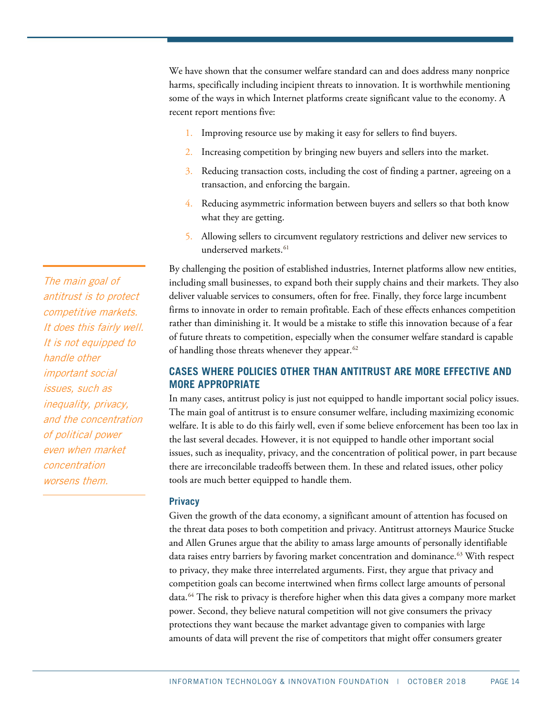We have shown that the consumer welfare standard can and does address many nonprice harms, specifically including incipient threats to innovation. It is worthwhile mentioning some of the ways in which Internet platforms create significant value to the economy. A recent report mentions five:

- 1. Improving resource use by making it easy for sellers to find buyers.
- 2. Increasing competition by bringing new buyers and sellers into the market.
- 3. Reducing transaction costs, including the cost of finding a partner, agreeing on a transaction, and enforcing the bargain.
- 4. Reducing asymmetric information between buyers and sellers so that both know what they are getting.
- 5. Allowing sellers to circumvent regulatory restrictions and deliver new services to underserved markets. [61](#page-26-4)

By challenging the position of established industries, Internet platforms allow new entities, including small businesses, to expand both their supply chains and their markets. They also deliver valuable services to consumers, often for free. Finally, they force large incumbent firms to innovate in order to remain profitable. Each of these effects enhances competition rather than diminishing it. It would be a mistake to stifle this innovation because of a fear of future threats to competition, especially when the consumer welfare standard is capable of handling those threats whenever they appear. $62$ 

# **CASES WHERE POLICIES OTHER THAN ANTITRUST ARE MORE EFFECTIVE AND MORE APPROPRIATE**

In many cases, antitrust policy is just not equipped to handle important social policy issues. The main goal of antitrust is to ensure consumer welfare, including maximizing economic welfare. It is able to do this fairly well, even if some believe enforcement has been too lax in the last several decades. However, it is not equipped to handle other important social issues, such as inequality, privacy, and the concentration of political power, in part because there are irreconcilable tradeoffs between them. In these and related issues, other policy tools are much better equipped to handle them.

#### **Privacy**

Given the growth of the data economy, a significant amount of attention has focused on the threat data poses to both competition and privacy. Antitrust attorneys Maurice Stucke and Allen Grunes argue that the ability to amass large amounts of personally identifiable data raises entry barriers by favoring market concentration and dominance.<sup>[63](#page-26-6)</sup> With respect to privacy, they make three interrelated arguments. First, they argue that privacy and competition goals can become intertwined when firms collect large amounts of personal data.<sup>[64](#page-26-7)</sup> The risk to privacy is therefore higher when this data gives a company more market power. Second, they believe natural competition will not give consumers the privacy protections they want because the market advantage given to companies with large amounts of data will prevent the rise of competitors that might offer consumers greater

The main goal of antitrust is to protect competitive markets. It does this fairly well. It is not equipped to handle other important social issues, such as inequality, privacy, and the concentration of political power even when market concentration worsens them.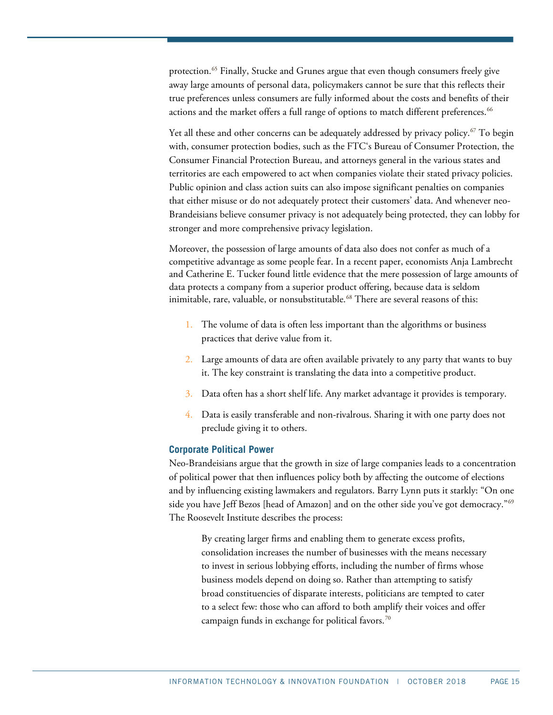protection.<sup>65</sup> Finally, Stucke and Grunes argue that even though consumers freely give away large amounts of personal data, policymakers cannot be sure that this reflects their true preferences unless consumers are fully informed about the costs and benefits of their actions and the market offers a full range of options to match different preferences.<sup>[66](#page-26-9)</sup>

Yet all these and other concerns can be adequately addressed by privacy policy. [67](#page-26-10) To begin with, consumer protection bodies, such as the FTC's Bureau of Consumer Protection, the Consumer Financial Protection Bureau, and attorneys general in the various states and territories are each empowered to act when companies violate their stated privacy policies. Public opinion and class action suits can also impose significant penalties on companies that either misuse or do not adequately protect their customers' data. And whenever neo-Brandeisians believe consumer privacy is not adequately being protected, they can lobby for stronger and more comprehensive privacy legislation.

Moreover, the possession of large amounts of data also does not confer as much of a competitive advantage as some people fear. In a recent paper, economists Anja Lambrecht and Catherine E. Tucker found little evidence that the mere possession of large amounts of data protects a company from a superior product offering, because data is seldom inimitable, rare, valuable, or nonsubstitutable.<sup>[68](#page-26-11)</sup> There are several reasons of this:

- 1. The volume of data is often less important than the algorithms or business practices that derive value from it.
- 2. Large amounts of data are often available privately to any party that wants to buy it. The key constraint is translating the data into a competitive product.
- 3. Data often has a short shelf life. Any market advantage it provides is temporary.
- 4. Data is easily transferable and non-rivalrous. Sharing it with one party does not preclude giving it to others.

#### **Corporate Political Power**

Neo-Brandeisians argue that the growth in size of large companies leads to a concentration of political power that then influences policy both by affecting the outcome of elections and by influencing existing lawmakers and regulators. Barry Lynn puts it starkly: "On one side you have Jeff Bezos [head of Amazon] and on the other side you've got democracy."<sup>[69](#page-26-12)</sup> The Roosevelt Institute describes the process:

By creating larger firms and enabling them to generate excess profits, consolidation increases the number of businesses with the means necessary to invest in serious lobbying efforts, including the number of firms whose business models depend on doing so. Rather than attempting to satisfy broad constituencies of disparate interests, politicians are tempted to cater to a select few: those who can afford to both amplify their voices and offer campaign funds in exchange for political favors.<sup>[70](#page-26-13)</sup>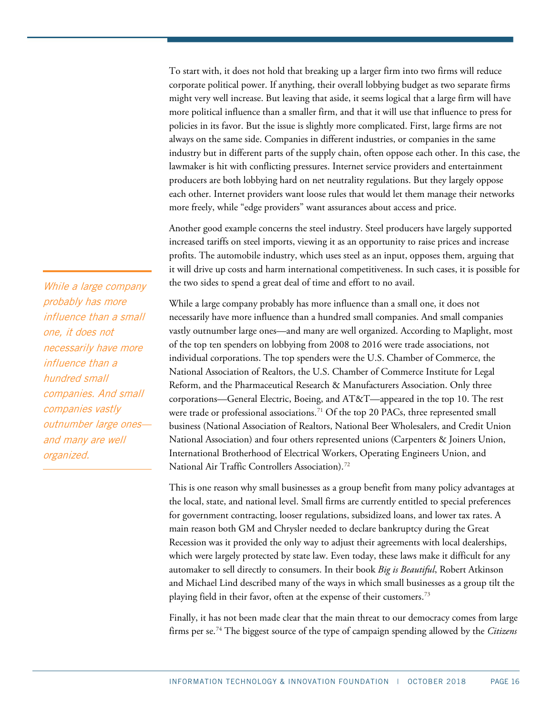To start with, it does not hold that breaking up a larger firm into two firms will reduce corporate political power. If anything, their overall lobbying budget as two separate firms might very well increase. But leaving that aside, it seems logical that a large firm will have more political influence than a smaller firm, and that it will use that influence to press for policies in its favor. But the issue is slightly more complicated. First, large firms are not always on the same side. Companies in different industries, or companies in the same industry but in different parts of the supply chain, often oppose each other. In this case, the lawmaker is hit with conflicting pressures. Internet service providers and entertainment producers are both lobbying hard on net neutrality regulations. But they largely oppose each other. Internet providers want loose rules that would let them manage their networks more freely, while "edge providers" want assurances about access and price.

Another good example concerns the steel industry. Steel producers have largely supported increased tariffs on steel imports, viewing it as an opportunity to raise prices and increase profits. The automobile industry, which uses steel as an input, opposes them, arguing that it will drive up costs and harm international competitiveness. In such cases, it is possible for the two sides to spend a great deal of time and effort to no avail.

While a large company probably has more influence than a small one, it does not necessarily have more influence than a hundred small companies. And small companies vastly outnumber large ones—and many are well organized. According to Maplight, most of the top ten spenders on lobbying from 2008 to 2016 were trade associations, not individual corporations. The top spenders were the U.S. Chamber of Commerce, the National Association of Realtors, the U.S. Chamber of Commerce Institute for Legal Reform, and the Pharmaceutical Research & Manufacturers Association. Only three corporations—General Electric, Boeing, and AT&T—appeared in the top 10. The rest were trade or professional associations.<sup>[71](#page-26-14)</sup> Of the top 20 PACs, three represented small business (National Association of Realtors, National Beer Wholesalers, and Credit Union National Association) and four others represented unions (Carpenters & Joiners Union, International Brotherhood of Electrical Workers, Operating Engineers Union, and National Air Traffic Controllers Association). [72](#page-26-15)

This is one reason why small businesses as a group benefit from many policy advantages at the local, state, and national level. Small firms are currently entitled to special preferences for government contracting, looser regulations, subsidized loans, and lower tax rates. A main reason both GM and Chrysler needed to declare bankruptcy during the Great Recession was it provided the only way to adjust their agreements with local dealerships, which were largely protected by state law. Even today, these laws make it difficult for any automaker to sell directly to consumers. In their book *Big is Beautiful*, Robert Atkinson and Michael Lind described many of the ways in which small businesses as a group tilt the playing field in their favor, often at the expense of their customers.<sup>[73](#page-26-16)</sup>

Finally, it has not been made clear that the main threat to our democracy comes from large firms per se.[74](#page-26-17) The biggest source of the type of campaign spending allowed by the *Citizens* 

While a large company probably has more influence than a small one, it does not necessarily have more influence than a hundred small companies. And small companies vastly outnumber large ones and many are well organized.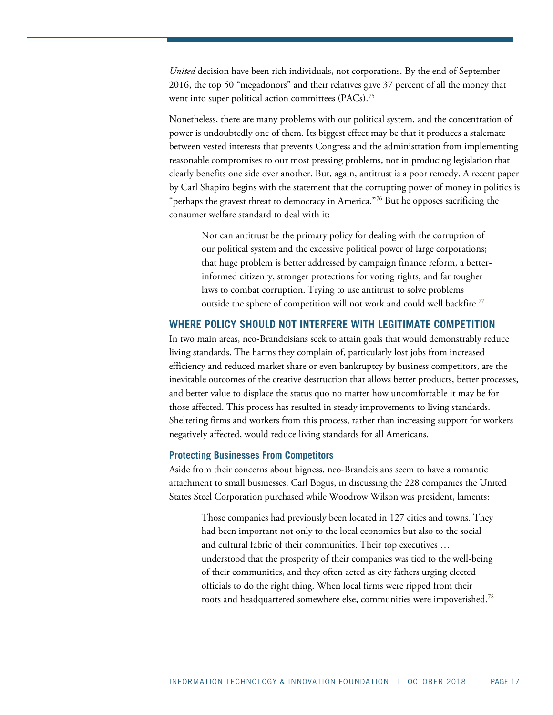*United* decision have been rich individuals, not corporations. By the end of September 2016, the top 50 "megadonors" and their relatives gave 37 percent of all the money that went into super political action committees (PACs).<sup>[75](#page-26-18)</sup>

Nonetheless, there are many problems with our political system, and the concentration of power is undoubtedly one of them. Its biggest effect may be that it produces a stalemate between vested interests that prevents Congress and the administration from implementing reasonable compromises to our most pressing problems, not in producing legislation that clearly benefits one side over another. But, again, antitrust is a poor remedy. A recent paper by Carl Shapiro begins with the statement that the corrupting power of money in politics is "perhaps the gravest threat to democracy in America."<sup>[76](#page-26-19)</sup> But he opposes sacrificing the consumer welfare standard to deal with it:

Nor can antitrust be the primary policy for dealing with the corruption of our political system and the excessive political power of large corporations; that huge problem is better addressed by campaign finance reform, a betterinformed citizenry, stronger protections for voting rights, and far tougher laws to combat corruption. Trying to use antitrust to solve problems outside the sphere of competition will not work and could well backfire.<sup>[77](#page-26-20)</sup>

### **WHERE POLICY SHOULD NOT INTERFERE WITH LEGITIMATE COMPETITION**

In two main areas, neo-Brandeisians seek to attain goals that would demonstrably reduce living standards. The harms they complain of, particularly lost jobs from increased efficiency and reduced market share or even bankruptcy by business competitors, are the inevitable outcomes of the creative destruction that allows better products, better processes, and better value to displace the status quo no matter how uncomfortable it may be for those affected. This process has resulted in steady improvements to living standards. Sheltering firms and workers from this process, rather than increasing support for workers negatively affected, would reduce living standards for all Americans.

#### **Protecting Businesses From Competitors**

Aside from their concerns about bigness, neo-Brandeisians seem to have a romantic attachment to small businesses. Carl Bogus, in discussing the 228 companies the United States Steel Corporation purchased while Woodrow Wilson was president, laments:

Those companies had previously been located in 127 cities and towns. They had been important not only to the local economies but also to the social and cultural fabric of their communities. Their top executives … understood that the prosperity of their companies was tied to the well-being of their communities, and they often acted as city fathers urging elected officials to do the right thing. When local firms were ripped from their roots and headquartered somewhere else, communities were impoverished[.78](#page-26-21)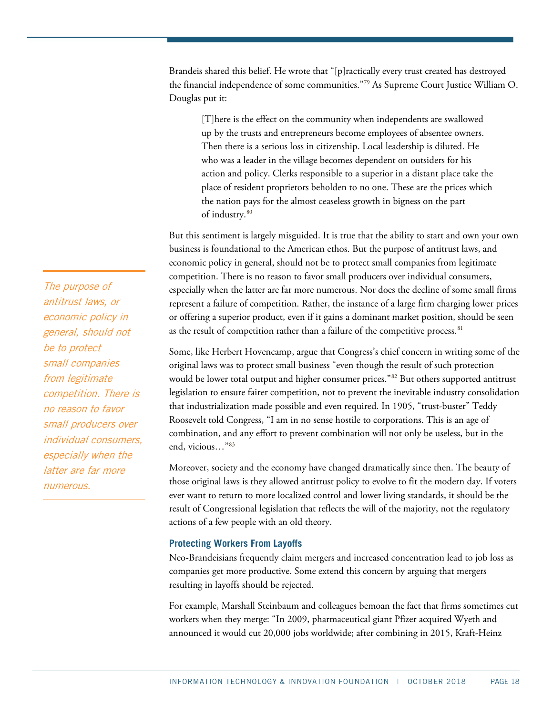Brandeis shared this belief. He wrote that "[p]ractically every trust created has destroyed the financial independence of some communities."[79](#page-26-22) As Supreme Court Justice William O. Douglas put it:

[T]here is the effect on the community when independents are swallowed up by the trusts and entrepreneurs become employees of absentee owners. Then there is a serious loss in citizenship. Local leadership is diluted. He who was a leader in the village becomes dependent on outsiders for his action and policy. Clerks responsible to a superior in a distant place take the place of resident proprietors beholden to no one. These are the prices which the nation pays for the almost ceaseless growth in bigness on the part of industry. [80](#page-27-0)

But this sentiment is largely misguided. It is true that the ability to start and own your own business is foundational to the American ethos. But the purpose of antitrust laws, and economic policy in general, should not be to protect small companies from legitimate competition. There is no reason to favor small producers over individual consumers, especially when the latter are far more numerous. Nor does the decline of some small firms represent a failure of competition. Rather, the instance of a large firm charging lower prices or offering a superior product, even if it gains a dominant market position, should be seen as the result of competition rather than a failure of the competitive process.  $81$ 

Some, like Herbert Hovencamp, argue that Congress's chief concern in writing some of the original laws was to protect small business "even though the result of such protection would be lower total output and higher consumer prices."<sup>[82](#page-27-2)</sup> But others supported antitrust legislation to ensure fairer competition, not to prevent the inevitable industry consolidation that industrialization made possible and even required. In 1905, "trust-buster" Teddy Roosevelt told Congress, "I am in no sense hostile to corporations. This is an age of combination, and any effort to prevent combination will not only be useless, but in the end, vicious…"[83](#page-27-3)

Moreover, society and the economy have changed dramatically since then. The beauty of those original laws is they allowed antitrust policy to evolve to fit the modern day. If voters ever want to return to more localized control and lower living standards, it should be the result of Congressional legislation that reflects the will of the majority, not the regulatory actions of a few people with an old theory.

#### **Protecting Workers From Layoffs**

Neo-Brandeisians frequently claim mergers and increased concentration lead to job loss as companies get more productive. Some extend this concern by arguing that mergers resulting in layoffs should be rejected.

For example, Marshall Steinbaum and colleagues bemoan the fact that firms sometimes cut workers when they merge: "In 2009, pharmaceutical giant Pfizer acquired Wyeth and announced it would cut 20,000 jobs worldwide; after combining in 2015, Kraft-Heinz

The purpose of antitrust laws, or economic policy in general, should not be to protect small companies from legitimate competition. There is no reason to favor small producers over individual consumers, especially when the latter are far more numerous.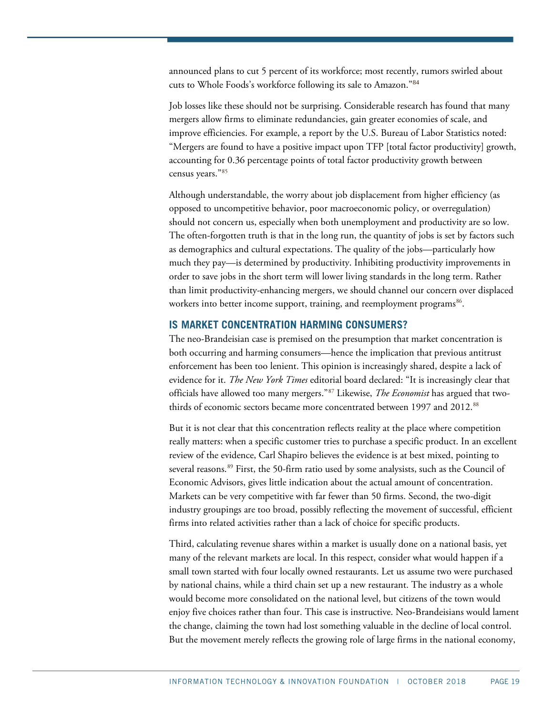announced plans to cut 5 percent of its workforce; most recently, rumors swirled about cuts to Whole Foods's workforce following its sale to Amazon."[84](#page-27-4)

Job losses like these should not be surprising. Considerable research has found that many mergers allow firms to eliminate redundancies, gain greater economies of scale, and improve efficiencies. For example, a report by the U.S. Bureau of Labor Statistics noted: "Mergers are found to have a positive impact upon TFP [total factor productivity] growth, accounting for 0.36 percentage points of total factor productivity growth between census years."[85](#page-27-5)

Although understandable, the worry about job displacement from higher efficiency (as opposed to uncompetitive behavior, poor macroeconomic policy, or overregulation) should not concern us, especially when both unemployment and productivity are so low. The often-forgotten truth is that in the long run, the quantity of jobs is set by factors such as demographics and cultural expectations. The quality of the jobs—particularly how much they pay—is determined by productivity. Inhibiting productivity improvements in order to save jobs in the short term will lower living standards in the long term. Rather than limit productivity-enhancing mergers, we should channel our concern over displaced workers into better income support, training, and reemployment programs<sup>86</sup>.

## **IS MARKET CONCENTRATION HARMING CONSUMERS?**

The neo-Brandeisian case is premised on the presumption that market concentration is both occurring and harming consumers—hence the implication that previous antitrust enforcement has been too lenient. This opinion is increasingly shared, despite a lack of evidence for it. *The New York Times* editorial board declared: "It is increasingly clear that officials have allowed too many mergers."[87](#page-27-7) Likewise, *The Economist* has argued that two-thirds of economic sectors became more concentrated between 1997 and 2012.<sup>[88](#page-27-8)</sup>

But it is not clear that this concentration reflects reality at the place where competition really matters: when a specific customer tries to purchase a specific product. In an excellent review of the evidence, Carl Shapiro believes the evidence is at best mixed, pointing to several reasons.<sup>[89](#page-27-9)</sup> First, the 50-firm ratio used by some analysists, such as the Council of Economic Advisors, gives little indication about the actual amount of concentration. Markets can be very competitive with far fewer than 50 firms. Second, the two-digit industry groupings are too broad, possibly reflecting the movement of successful, efficient firms into related activities rather than a lack of choice for specific products.

Third, calculating revenue shares within a market is usually done on a national basis, yet many of the relevant markets are local. In this respect, consider what would happen if a small town started with four locally owned restaurants. Let us assume two were purchased by national chains, while a third chain set up a new restaurant. The industry as a whole would become more consolidated on the national level, but citizens of the town would enjoy five choices rather than four. This case is instructive. Neo-Brandeisians would lament the change, claiming the town had lost something valuable in the decline of local control. But the movement merely reflects the growing role of large firms in the national economy,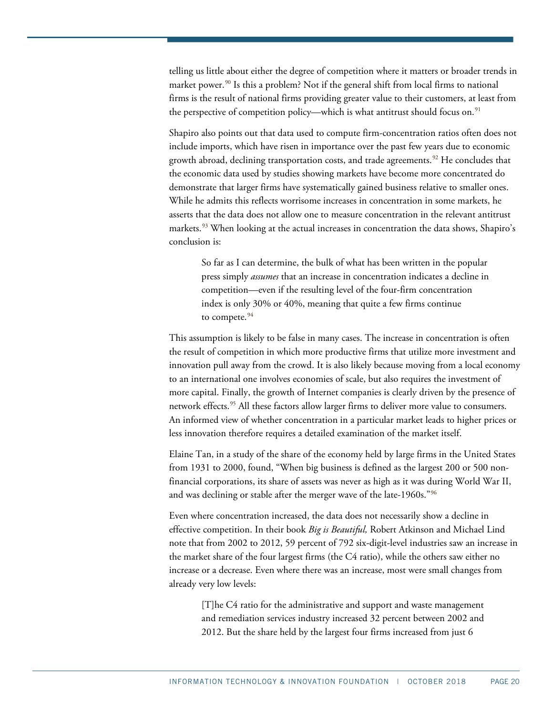telling us little about either the degree of competition where it matters or broader trends in market power.<sup>[90](#page-27-10)</sup> Is this a problem? Not if the general shift from local firms to national firms is the result of national firms providing greater value to their customers, at least from the perspective of competition policy—which is what antitrust should focus on.<sup>[91](#page-27-11)</sup>

Shapiro also points out that data used to compute firm-concentration ratios often does not include imports, which have risen in importance over the past few years due to economic growth abroad, declining transportation costs, and trade agreements.<sup>[92](#page-27-12)</sup> He concludes that the economic data used by studies showing markets have become more concentrated do demonstrate that larger firms have systematically gained business relative to smaller ones. While he admits this reflects worrisome increases in concentration in some markets, he asserts that the data does not allow one to measure concentration in the relevant antitrust markets.<sup>[93](#page-27-13)</sup> When looking at the actual increases in concentration the data shows, Shapiro's conclusion is:

So far as I can determine, the bulk of what has been written in the popular press simply *assumes* that an increase in concentration indicates a decline in competition—even if the resulting level of the four-firm concentration index is only 30% or 40%, meaning that quite a few firms continue to compete. $94$ 

This assumption is likely to be false in many cases. The increase in concentration is often the result of competition in which more productive firms that utilize more investment and innovation pull away from the crowd. It is also likely because moving from a local economy to an international one involves economies of scale, but also requires the investment of more capital. Finally, the growth of Internet companies is clearly driven by the presence of network effects.<sup>[95](#page-27-15)</sup> All these factors allow larger firms to deliver more value to consumers. An informed view of whether concentration in a particular market leads to higher prices or less innovation therefore requires a detailed examination of the market itself.

Elaine Tan, in a study of the share of the economy held by large firms in the United States from 1931 to 2000, found, "When big business is defined as the largest 200 or 500 nonfinancial corporations, its share of assets was never as high as it was during World War II, and was declining or stable after the merger wave of the late-1960s."[96](#page-27-16)

Even where concentration increased, the data does not necessarily show a decline in effective competition. In their book *Big is Beautiful,* Robert Atkinson and Michael Lind note that from 2002 to 2012, 59 percent of 792 six-digit-level industries saw an increase in the market share of the four largest firms (the C4 ratio), while the others saw either no increase or a decrease. Even where there was an increase, most were small changes from already very low levels:

[T]he C4 ratio for the administrative and support and waste management and remediation services industry increased 32 percent between 2002 and 2012. But the share held by the largest four firms increased from just 6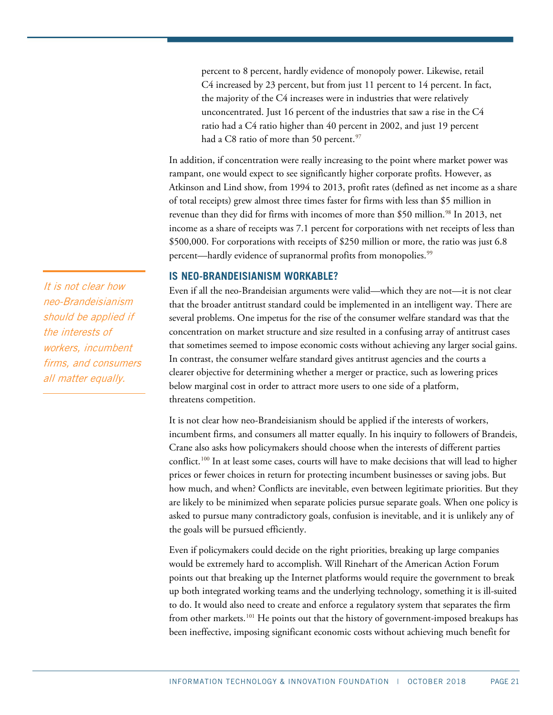percent to 8 percent, hardly evidence of monopoly power. Likewise, retail C4 increased by 23 percent, but from just 11 percent to 14 percent. In fact, the majority of the C4 increases were in industries that were relatively unconcentrated. Just 16 percent of the industries that saw a rise in the C4 ratio had a C4 ratio higher than 40 percent in 2002, and just 19 percent had a C8 ratio of more than 50 percent.<sup>[97](#page-27-17)</sup>

In addition, if concentration were really increasing to the point where market power was rampant, one would expect to see significantly higher corporate profits. However, as Atkinson and Lind show, from 1994 to 2013, profit rates (defined as net income as a share of total receipts) grew almost three times faster for firms with less than \$5 million in revenue than they did for firms with incomes of more than \$50 million.<sup>[98](#page-27-18)</sup> In 2013, net income as a share of receipts was 7.1 percent for corporations with net receipts of less than \$500,000. For corporations with receipts of \$250 million or more, the ratio was just 6.8 percent—hardly evidence of supranormal profits from monopolies. [99](#page-27-19)

## **IS NEO-BRANDEISIANISM WORKABLE?**

Even if all the neo-Brandeisian arguments were valid—which they are not—it is not clear that the broader antitrust standard could be implemented in an intelligent way. There are several problems. One impetus for the rise of the consumer welfare standard was that the concentration on market structure and size resulted in a confusing array of antitrust cases that sometimes seemed to impose economic costs without achieving any larger social gains. In contrast, the consumer welfare standard gives antitrust agencies and the courts a clearer objective for determining whether a merger or practice, such as lowering prices below marginal cost in order to attract more users to one side of a platform, threatens competition.

It is not clear how neo-Brandeisianism should be applied if the interests of workers, incumbent firms, and consumers all matter equally. In his inquiry to followers of Brandeis, Crane also asks how policymakers should choose when the interests of different parties conflict.<sup>100</sup> In at least some cases, courts will have to make decisions that will lead to higher prices or fewer choices in return for protecting incumbent businesses or saving jobs. But how much, and when? Conflicts are inevitable, even between legitimate priorities. But they are likely to be minimized when separate policies pursue separate goals. When one policy is asked to pursue many contradictory goals, confusion is inevitable, and it is unlikely any of the goals will be pursued efficiently.

Even if policymakers could decide on the right priorities, breaking up large companies would be extremely hard to accomplish. Will Rinehart of the American Action Forum points out that breaking up the Internet platforms would require the government to break up both integrated working teams and the underlying technology, something it is ill-suited to do. It would also need to create and enforce a regulatory system that separates the firm from other markets.<sup>[101](#page-27-21)</sup> He points out that the history of government-imposed breakups has been ineffective, imposing significant economic costs without achieving much benefit for

It is not clear how neo-Brandeisianism should be applied if the interests of workers, incumbent firms, and consumers all matter equally.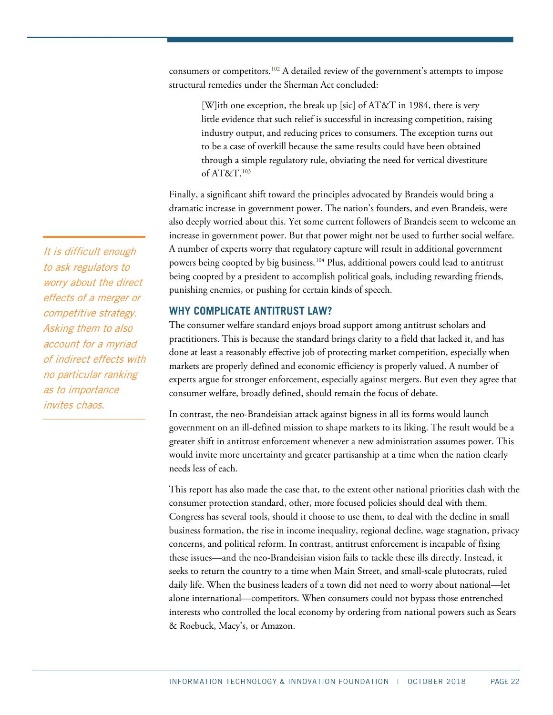consumers or competitors.[102](#page-27-22) A detailed review of the government's attempts to impose structural remedies under the Sherman Act concluded:

[W]ith one exception, the break up [sic] of AT&T in 1984, there is very little evidence that such relief is successful in increasing competition, raising industry output, and reducing prices to consumers. The exception turns out to be a case of overkill because the same results could have been obtained through a simple regulatory rule, obviating the need for vertical divestiture of AT&T.[103](#page-27-23)

Finally, a significant shift toward the principles advocated by Brandeis would bring a dramatic increase in government power. The nation's founders, and even Brandeis, were also deeply worried about this. Yet some current followers of Brandeis seem to welcome an increase in government power. But that power might not be used to further social welfare. A number of experts worry that regulatory capture will result in additional government powers being coopted by big business.<sup>[104](#page-27-24)</sup> Plus, additional powers could lead to antitrust being coopted by a president to accomplish political goals, including rewarding friends, punishing enemies, or pushing for certain kinds of speech.

## **WHY COMPLICATE ANTITRUST LAW?**

The consumer welfare standard enjoys broad support among antitrust scholars and practitioners. This is because the standard brings clarity to a field that lacked it, and has done at least a reasonably effective job of protecting market competition, especially when markets are properly defined and economic efficiency is properly valued. A number of experts argue for stronger enforcement, especially against mergers. But even they agree that consumer welfare, broadly defined, should remain the focus of debate.

In contrast, the neo-Brandeisian attack against bigness in all its forms would launch government on an ill-defined mission to shape markets to its liking. The result would be a greater shift in antitrust enforcement whenever a new administration assumes power. This would invite more uncertainty and greater partisanship at a time when the nation clearly needs less of each.

This report has also made the case that, to the extent other national priorities clash with the consumer protection standard, other, more focused policies should deal with them. Congress has several tools, should it choose to use them, to deal with the decline in small business formation, the rise in income inequality, regional decline, wage stagnation, privacy concerns, and political reform. In contrast, antitrust enforcement is incapable of fixing these issues—and the neo-Brandeisian vision fails to tackle these ills directly. Instead, it seeks to return the country to a time when Main Street, and small-scale plutocrats, ruled daily life. When the business leaders of a town did not need to worry about national—let alone international—competitors. When consumers could not bypass those entrenched interests who controlled the local economy by ordering from national powers such as Sears & Roebuck, Macy's, or Amazon.

It is difficult enough to ask regulators to worry about the direct effects of a merger or competitive strategy. Asking them to also account for a myriad of indirect effects with no particular ranking as to importance invites chaos.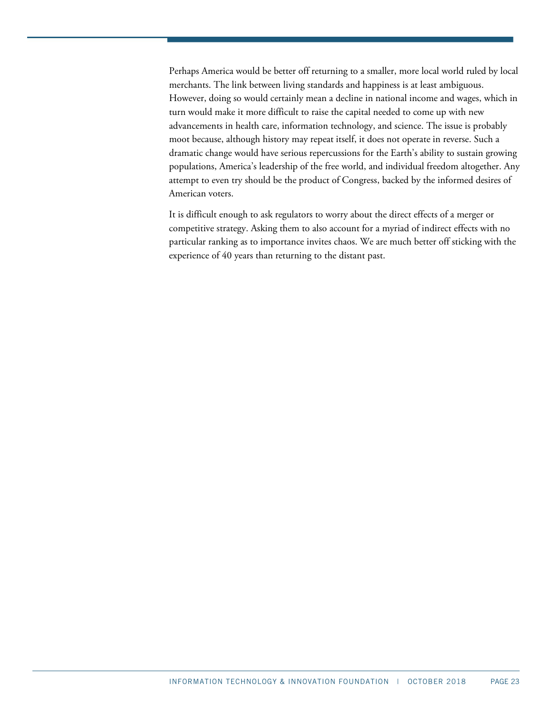Perhaps America would be better off returning to a smaller, more local world ruled by local merchants. The link between living standards and happiness is at least ambiguous. However, doing so would certainly mean a decline in national income and wages, which in turn would make it more difficult to raise the capital needed to come up with new advancements in health care, information technology, and science. The issue is probably moot because, although history may repeat itself, it does not operate in reverse. Such a dramatic change would have serious repercussions for the Earth's ability to sustain growing populations, America's leadership of the free world, and individual freedom altogether. Any attempt to even try should be the product of Congress, backed by the informed desires of American voters.

It is difficult enough to ask regulators to worry about the direct effects of a merger or competitive strategy. Asking them to also account for a myriad of indirect effects with no particular ranking as to importance invites chaos. We are much better off sticking with the experience of 40 years than returning to the distant past.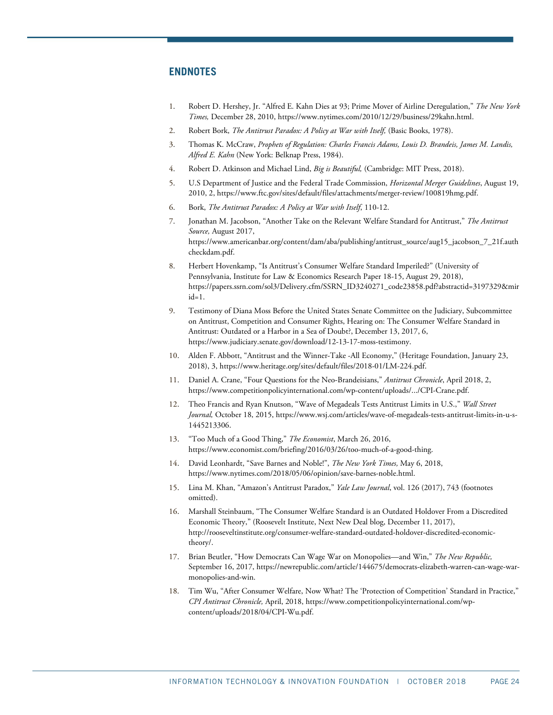## **ENDNOTES**

- <span id="page-23-0"></span>1. Robert D. Hershey, Jr. "Alfred E. Kahn Dies at 93; Prime Mover of Airline Deregulation," *The New York Times,* December 28, 2010[, https://www.nytimes.com/2010/12/29/business/29kahn.html.](https://www.nytimes.com/2010/12/29/business/29kahn.html)
- <span id="page-23-1"></span>2. Robert Bork, *The Antitrust Paradox: A Policy at War with Itself,* (Basic Books, 1978).
- <span id="page-23-2"></span>3. Thomas K. McCraw, *Prophets of Regulation: Charles Francis Adams, Louis D. Brandeis, James M. Landis, Alfred E. Kahn* (New York: Belknap Press, 1984).
- <span id="page-23-3"></span>4. Robert D. Atkinson and Michael Lind, *Big is Beautiful,* (Cambridge: MIT Press, 2018).
- <span id="page-23-4"></span>5. U.S Department of Justice and the Federal Trade Commission, *Horizontal Merger Guidelines*, August 19, 2010, 2[, https://www.ftc.gov/sites/default/files/attachments/merger-review/100819hmg.pdf.](https://www.ftc.gov/sites/default/files/attachments/merger-review/100819hmg.pdf)
- <span id="page-23-5"></span>6. Bork, *The Antitrust Paradox: A Policy at War with Itself*, 110-12.
- <span id="page-23-6"></span>7. Jonathan M. Jacobson, "Another Take on the Relevant Welfare Standard for Antitrust," *The Antitrust Source,* August 2017, [https://www.americanbar.org/content/dam/aba/publishing/antitrust\\_source/aug15\\_jacobson\\_7\\_21f.auth](https://www.americanbar.org/content/dam/aba/publishing/antitrust_source/aug15_jacobson_7_21f.authcheckdam.pdf) [checkdam.pdf.](https://www.americanbar.org/content/dam/aba/publishing/antitrust_source/aug15_jacobson_7_21f.authcheckdam.pdf)
- <span id="page-23-7"></span>8. Herbert Hovenkamp, "Is Antitrust's Consumer Welfare Standard Imperiled?" (University of Pennsylvania, Institute for Law & Economics Research Paper 18-15, August 29, 2018), [https://papers.ssrn.com/sol3/Delivery.cfm/SSRN\\_ID3240271\\_code23858.pdf?abstractid=3197329&mir](https://papers.ssrn.com/sol3/Delivery.cfm/SSRN_ID3240271_code23858.pdf?abstractid=3197329&mirid=1)  $id=1$ .
- <span id="page-23-8"></span>9. Testimony of Diana Moss Before the United States Senate Committee on the Judiciary, Subcommittee on Antitrust, Competition and Consumer Rights, Hearing on: The Consumer Welfare Standard in Antitrust: Outdated or a Harbor in a Sea of Doubt?, December 13, 2017, 6, [https://www.judiciary.senate.gov/download/12-13-17-moss-testimony.](https://www.judiciary.senate.gov/download/12-13-17-moss-testimony)
- <span id="page-23-9"></span>10. Alden F. Abbott, "Antitrust and the Winner-Take -All Economy," (Heritage Foundation, January 23, 2018), 3[, https://www.heritage.org/sites/default/files/2018-01/LM-224.pdf.](https://www.heritage.org/sites/default/files/2018-01/LM-224.pdf)
- <span id="page-23-10"></span>11. Daniel A. Crane, "Four Questions for the Neo-Brandeisians," *Antitrust Chronicle*, April 2018, 2, [https://www.competitionpolicyinternational.com/wp-content/uploads/.../CPI-Crane.pdf.](https://www.competitionpolicyinternational.com/wp-content/uploads/.../CPI-Crane.pdf)
- <span id="page-23-11"></span>12. Theo Francis and Ryan Knutson, "Wave of Megadeals Tests Antitrust Limits in U.S.," *Wall Street Journal,* October 18, 2015[, https://www.wsj.com/articles/wave-of-megadeals-tests-antitrust-limits-in-u-s-](https://www.wsj.com/articles/wave-of-megadeals-tests-antitrust-limits-in-u-s-1445213306)[1445213306.](https://www.wsj.com/articles/wave-of-megadeals-tests-antitrust-limits-in-u-s-1445213306)
- <span id="page-23-12"></span>13. "Too Much of a Good Thing," *The Economist*, March 26, 2016, [https://www.economist.com/briefing/2016/03/26/too-much-of-a-good-thing.](https://www.economist.com/briefing/2016/03/26/too-much-of-a-good-thing)
- <span id="page-23-13"></span>14. David Leonhardt, "Save Barnes and Noble!", *The New York Times,* May 6, 2018, [https://www.nytimes.com/2018/05/06/opinion/save-barnes-noble.html.](https://www.nytimes.com/2018/05/06/opinion/save-barnes-noble.html)
- <span id="page-23-14"></span>15. Lina M. Khan, "Amazon's Antitrust Paradox," *Yale Law Journal*, vol. 126 (2017), 743 (footnotes omitted).
- <span id="page-23-15"></span>16. Marshall Steinbaum, "The Consumer Welfare Standard is an Outdated Holdover From a Discredited Economic Theory," (Roosevelt Institute, Next New Deal blog, December 11, 2017), [http://rooseveltinstitute.org/consumer-welfare-standard-outdated-holdover-discredited-economic](http://rooseveltinstitute.org/consumer-welfare-standard-outdated-holdover-discredited-economic-theory/)[theory/.](http://rooseveltinstitute.org/consumer-welfare-standard-outdated-holdover-discredited-economic-theory/)
- <span id="page-23-16"></span>17. Brian Beutler, "How Democrats Can Wage War on Monopolies—and Win," *The New Republic,*  September 16, 2017, [https://newrepublic.com/article/144675/democrats-elizabeth-warren-can-wage-war](https://newrepublic.com/article/144675/democrats-elizabeth-warren-can-wage-war-monopolies-and-win)[monopolies-and-win.](https://newrepublic.com/article/144675/democrats-elizabeth-warren-can-wage-war-monopolies-and-win)
- <span id="page-23-17"></span>18. Tim Wu, "After Consumer Welfare, Now What? The 'Protection of Competition' Standard in Practice," *CPI Antitrust Chronicle,* April, 2018[, https://www.competitionpolicyinternational.com/wp](https://www.competitionpolicyinternational.com/wp-content/uploads/2018/04/CPI-Wu.pdf)[content/uploads/2018/04/CPI-Wu.pdf.](https://www.competitionpolicyinternational.com/wp-content/uploads/2018/04/CPI-Wu.pdf)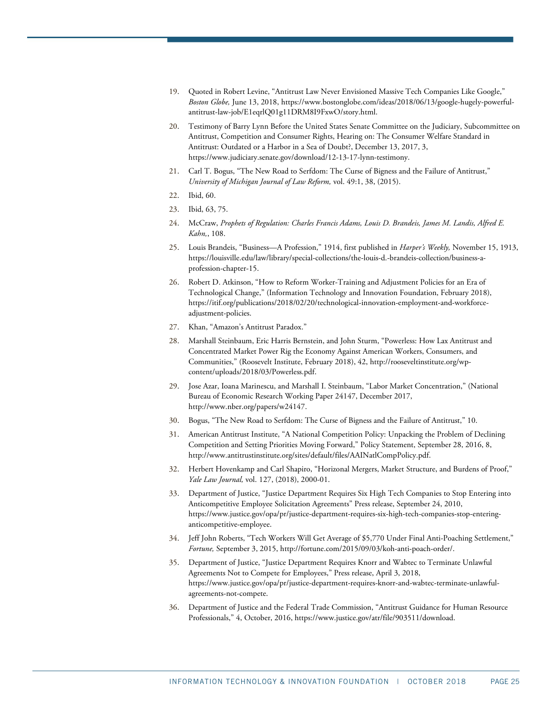- <span id="page-24-0"></span>19. Quoted in Robert Levine, "Antitrust Law Never Envisioned Massive Tech Companies Like Google," *Boston Globe,* June 13, 2018[, https://www.bostonglobe.com/ideas/2018/06/13/google-hugely-powerful](https://www.bostonglobe.com/ideas/2018/06/13/google-hugely-powerful-antitrust-law-job/E1eqrlQ01g11DRM8I9FxwO/story.html)[antitrust-law-job/E1eqrlQ01g11DRM8I9FxwO/story.html.](https://www.bostonglobe.com/ideas/2018/06/13/google-hugely-powerful-antitrust-law-job/E1eqrlQ01g11DRM8I9FxwO/story.html)
- <span id="page-24-1"></span>20. Testimony of Barry Lynn Before the United States Senate Committee on the Judiciary, Subcommittee on Antitrust, Competition and Consumer Rights, Hearing on: The Consumer Welfare Standard in Antitrust: Outdated or a Harbor in a Sea of Doubt?, December 13, 2017, 3, [https://www.judiciary.senate.gov/download/12-13-17-lynn-testimony.](https://www.judiciary.senate.gov/download/12-13-17-lynn-testimony)
- <span id="page-24-2"></span>21. Carl T. Bogus, "The New Road to Serfdom: The Curse of Bigness and the Failure of Antitrust," *University of Michigan Journal of Law Reform,* vol. 49:1, 38, (2015).
- <span id="page-24-3"></span>22. Ibid, 60.
- <span id="page-24-4"></span>23. Ibid, 63, 75.
- <span id="page-24-5"></span>24. McCraw, *Prophets of Regulation: Charles Francis Adams, Louis D. Brandeis, James M. Landis, Alfred E. Kahn,*, 108.
- <span id="page-24-6"></span>25. Louis Brandeis, "Business—A Profession," 1914, first published in *Harper's Weekly,* November 15, 1913, [https://louisville.edu/law/library/special-collections/the-louis-d.-brandeis-collection/business-a](https://louisville.edu/law/library/special-collections/the-louis-d.-brandeis-collection/business-a-profession-chapter-15)[profession-chapter-15.](https://louisville.edu/law/library/special-collections/the-louis-d.-brandeis-collection/business-a-profession-chapter-15)
- <span id="page-24-7"></span>26. Robert D. Atkinson, "How to Reform Worker-Training and Adjustment Policies for an Era of Technological Change," (Information Technology and Innovation Foundation, February 2018), [https://itif.org/publications/2018/02/20/technological-innovation-employment-and-workforce](https://itif.org/publications/2018/02/20/technological-innovation-employment-and-workforce-adjustment-policies)[adjustment-policies.](https://itif.org/publications/2018/02/20/technological-innovation-employment-and-workforce-adjustment-policies)
- <span id="page-24-9"></span><span id="page-24-8"></span>27. Khan, "Amazon's Antitrust Paradox."
- 28. Marshall Steinbaum, Eric Harris Bernstein, and John Sturm, "Powerless: How Lax Antitrust and Concentrated Market Power Rig the Economy Against American Workers, Consumers, and Communities," (Roosevelt Institute, February 2018), 42[, http://rooseveltinstitute.org/wp](http://rooseveltinstitute.org/wp-content/uploads/2018/03/Powerless.pdf)[content/uploads/2018/03/Powerless.pdf.](http://rooseveltinstitute.org/wp-content/uploads/2018/03/Powerless.pdf)
- <span id="page-24-10"></span>29. Jose Azar, Ioana Marinescu, and Marshall I. Steinbaum, "Labor Market Concentration," (National Bureau of Economic Research Working Paper 24147, December 2017, [http://www.nber.org/papers/w24147.](http://www.nber.org/papers/w24147)
- <span id="page-24-11"></span>30. Bogus, "The New Road to Serfdom: The Curse of Bigness and the Failure of Antitrust," 10.
- <span id="page-24-12"></span>31. American Antitrust Institute, "A National Competition Policy: Unpacking the Problem of Declining Competition and Setting Priorities Moving Forward," Policy Statement, September 28, 2016, 8, [http://www.antitrustinstitute.org/sites/default/files/AAINatlCompPolicy.pdf.](http://www.antitrustinstitute.org/sites/default/files/AAINatlCompPolicy.pdf)
- <span id="page-24-13"></span>32. Herbert Hovenkamp and Carl Shapiro, "Horizonal Mergers, Market Structure, and Burdens of Proof," *Yale Law Journal,* vol. 127, (2018), 2000-01.
- <span id="page-24-14"></span>33. Department of Justice, "Justice Department Requires Six High Tech Companies to Stop Entering into Anticompetitive Employee Solicitation Agreements" Press release, September 24, 2010, [https://www.justice.gov/opa/pr/justice-department-requires-six-high-tech-companies-stop-entering](https://www.justice.gov/opa/pr/justice-department-requires-six-high-tech-companies-stop-entering-anticompetitive-employee)[anticompetitive-employee.](https://www.justice.gov/opa/pr/justice-department-requires-six-high-tech-companies-stop-entering-anticompetitive-employee)
- <span id="page-24-15"></span>34. Jeff John Roberts, "Tech Workers Will Get Average of \$5,770 Under Final Anti-Poaching Settlement," *Fortune,* September 3, 2015, [http://fortune.com/2015/09/03/koh-anti-poach-order/.](http://fortune.com/2015/09/03/koh-anti-poach-order/)
- <span id="page-24-16"></span>35. Department of Justice, "Justice Department Requires Knorr and Wabtec to Terminate Unlawful Agreements Not to Compete for Employees," Press release, April 3, 2018, [https://www.justice.gov/opa/pr/justice-department-requires-knorr-and-wabtec-terminate-unlawful](https://www.justice.gov/opa/pr/justice-department-requires-knorr-and-wabtec-terminate-unlawful-agreements-not-compete)[agreements-not-compete.](https://www.justice.gov/opa/pr/justice-department-requires-knorr-and-wabtec-terminate-unlawful-agreements-not-compete)
- <span id="page-24-17"></span>36. Department of Justice and the Federal Trade Commission, "Antitrust Guidance for Human Resource Professionals," 4, October, 2016[, https://www.justice.gov/atr/file/903511/download.](https://www.justice.gov/atr/file/903511/download)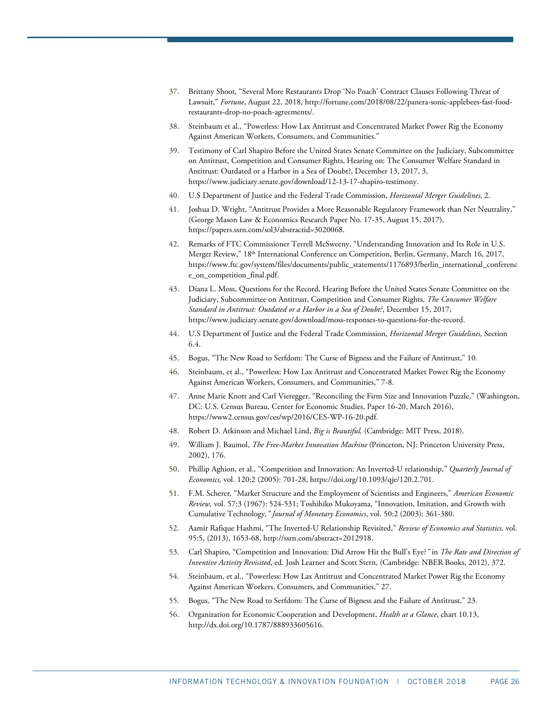- <span id="page-25-0"></span>37. Brittany Shoot, "Several More Restaurants Drop 'No Poach' Contract Clauses Following Threat of Lawsuit," *Fortune*, August 22, 2018[, http://fortune.com/2018/08/22/panera-sonic-applebees-fast-food](http://fortune.com/2018/08/22/panera-sonic-applebees-fast-food-restaurants-drop-no-poach-agreements/)[restaurants-drop-no-poach-agreements/.](http://fortune.com/2018/08/22/panera-sonic-applebees-fast-food-restaurants-drop-no-poach-agreements/)
- <span id="page-25-1"></span>38. Steinbaum et al., "Powerless: How Lax Antitrust and Concentrated Market Power Rig the Economy Against American Workers, Consumers, and Communities."
- <span id="page-25-2"></span>39. Testimony of Carl Shapiro Before the United States Senate Committee on the Judiciary, Subcommittee on Antitrust, Competition and Consumer Rights, Hearing on: The Consumer Welfare Standard in Antitrust: Outdated or a Harbor in a Sea of Doubt?, December 13, 2017, 3, [https://www.judiciary.senate.gov/download/12-13-17-shapiro-testimony.](https://www.judiciary.senate.gov/download/12-13-17-shapiro-testimony)
- <span id="page-25-4"></span><span id="page-25-3"></span>40. U.S Department of Justice and the Federal Trade Commission, *Horizontal Merger Guidelines*, 2.
- 41. Joshua D. Wright, "Antitrust Provides a More Reasonable Regulatory Framework than Net Neutrality," (George Mason Law & Economics Research Paper No. 17-35, August 15, 2017), [https://papers.ssrn.com/sol3/abstractid=3020068.](https://papers.ssrn.com/sol3/abstractid=3020068)
- <span id="page-25-5"></span>42. Remarks of FTC Commissioner Terrell McSweeny, "Understanding Innovation and Its Role in U.S. Merger Review," 18th International Conference on Competition, Berlin, Germany, March 16, 2017, [https://www.ftc.gov/system/files/documents/public\\_statements/1176893/berlin\\_international\\_conferenc](https://www.ftc.gov/system/files/documents/public_statements/1176893/berlin_international_conference_on_competition_final.pdf) [e\\_on\\_competition\\_final.pdf.](https://www.ftc.gov/system/files/documents/public_statements/1176893/berlin_international_conference_on_competition_final.pdf)
- <span id="page-25-6"></span>43. Diana L. Moss, Questions for the Record, Hearing Before the United States Senate Committee on the Judiciary, Subcommittee on Antitrust, Competition and Consumer Rights, *The Consumer Welfare Standard in Antitrust: Outdated or a Harbor in a Sea of Doubt?*, December 15, 2017, [https://www.judiciary.senate.gov/download/moss-responses-to-questions-for-the-record.](https://www.judiciary.senate.gov/download/moss-responses-to-questions-for-the-record)
- <span id="page-25-7"></span>44. U.S Department of Justice and the Federal Trade Commission, *Horizontal Merger Guidelines*, Section 6.4.
- <span id="page-25-8"></span>45. Bogus, "The New Road to Serfdom: The Curse of Bigness and the Failure of Antitrust," 10.
- <span id="page-25-9"></span>46. Steinbaum, et al., "Powerless: How Lax Antitrust and Concentrated Market Power Rig the Economy Against American Workers, Consumers, and Communities," 7-8.
- <span id="page-25-10"></span>47. Anne Marie Knott and Carl Vieregger, "Reconciling the Firm Size and Innovation Puzzle," (Washington, DC: U.S. Census Bureau, Center for Economic Studies, Paper 16-20, March 2016), [https://www2.census.gov/ces/wp/2016/CES-WP-16-20.pdf.](https://www2.census.gov/ces/wp/2016/CES-WP-16-20.pdf)
- <span id="page-25-11"></span>48. Robert D. Atkinson and Michael Lind, *Big is Beautiful,* (Cambridge: MIT Press, 2018).
- <span id="page-25-12"></span>49. William J. Baumol, *The Free-Market Innovation Machine* (Princeton, NJ: Princeton University Press, 2002), 176.
- <span id="page-25-13"></span>50. Phillip Aghion, et al., "Competition and Innovation: An Inverted-U relationship," *Quarterly Journal of Economics,* vol. 120:2 (2005): 701-28[, https://doi.org/10.1093/qje/120.2.701.](https://doi.org/10.1093/qje/120.2.701)
- <span id="page-25-14"></span>51. F.M. Scherer, "Market Structure and the Employment of Scientists and Engineers," *American Economic Review,* vol. 57:3 (1967): 524-531; Toshihiko Mukoyama, "Innovation, Imitation, and Growth with Cumulative Technology*," Journal of Monetary Economics*, vol. 50:2 (2003): 361-380.
- <span id="page-25-15"></span>52. Aamir Rafique Hashmi, "The Inverted-U Relationship Revisited," *Review of Economics and Statistics,* vol. 95:5, (2013), 1653-68[, http://ssrn.com/abstract=2012918.](http://ssrn.com/abstract=2012918)
- <span id="page-25-16"></span>53. Carl Shapiro, "Competition and Innovation: Did Arrow Hit the Bull's Eye?*"* in *The Rate and Direction of Inventive Activity Revisited*, ed. Josh Learner and Scott Stern, (Cambridge: NBER Books, 2012), 372.
- <span id="page-25-17"></span>54. Steinbaum, et al., "Powerless: How Lax Antitrust and Concentrated Market Power Rig the Economy Against American Workers, Consumers, and Communities," 27.
- <span id="page-25-18"></span>55. Bogus, "The New Road to Serfdom: The Curse of Bigness and the Failure of Antitrust," 23.
- <span id="page-25-19"></span>56. Organization for Economic Cooperation and Development, *Health at a Glance*, chart 10.13, [http://dx.doi.org/10.1787/888933605616.](http://dx.doi.org/10.1787/888933605616)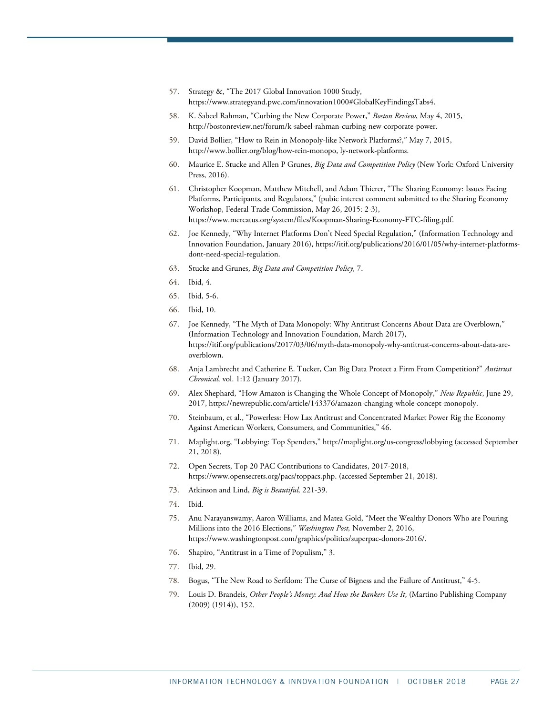- <span id="page-26-0"></span>57. Strategy &, "The 2017 Global Innovation 1000 Study, [https://www.strategyand.pwc.com/innovation1000#GlobalKeyFindingsTabs4.](https://www.strategyand.pwc.com/innovation1000#GlobalKeyFindingsTabs4)
- <span id="page-26-1"></span>58. K. Sabeel Rahman, "Curbing the New Corporate Power," *Boston Review*, May 4, 2015, [http://bostonreview.net/forum/k-sabeel-rahman-curbing-new-corporate-power.](http://bostonreview.net/forum/k-sabeel-rahman-curbing-new-corporate-power)
- <span id="page-26-2"></span>59. David Bollier, "How to Rein in Monopoly-like Network Platforms?," May 7, 2015, [http://www.bollier.org/blog/how-rein-monopo, ly-network-platforms.](http://www.bollier.org/blog/how-rein-monopo,%20ly-network-platforms)
- <span id="page-26-3"></span>60. Maurice E. Stucke and Allen P Grunes, *Big Data and Competition Policy* (New York: Oxford University Press, 2016).
- <span id="page-26-4"></span>61. Christopher Koopman, Matthew Mitchell, and Adam Thierer, "The Sharing Economy: Issues Facing Platforms, Participants, and Regulators," (pubic interest comment submitted to the Sharing Economy Workshop, Federal Trade Commission, May 26, 2015: 2-3), [https://www.mercatus.org/system/files/Koopman-Sharing-Economy-FTC-filing.pdf.](https://www.mercatus.org/system/files/Koopman-Sharing-Economy-FTC-filing.pdf)
- <span id="page-26-5"></span>62. Joe Kennedy, "Why Internet Platforms Don't Need Special Regulation," (Information Technology and Innovation Foundation, January 2016)[, https://itif.org/publications/2016/01/05/why-internet-platforms](https://itif.org/publications/2016/01/05/why-internet-platforms-dont-need-special-regulation)[dont-need-special-regulation.](https://itif.org/publications/2016/01/05/why-internet-platforms-dont-need-special-regulation)
- <span id="page-26-6"></span>63. Stucke and Grunes, *Big Data and Competition Policy*, 7.
- <span id="page-26-7"></span>64. Ibid, 4.
- <span id="page-26-8"></span>65. Ibid, 5-6.
- <span id="page-26-9"></span>66. Ibid, 10.
- <span id="page-26-10"></span>67. Joe Kennedy, "The Myth of Data Monopoly: Why Antitrust Concerns About Data are Overblown," (Information Technology and Innovation Foundation, March 2017), [https://itif.org/publications/2017/03/06/myth-data-monopoly-why-antitrust-concerns-about-data-are](https://itif.org/publications/2017/03/06/myth-data-monopoly-why-antitrust-concerns-about-data-are-overblown)[overblown.](https://itif.org/publications/2017/03/06/myth-data-monopoly-why-antitrust-concerns-about-data-are-overblown)
- <span id="page-26-11"></span>68. Anja Lambrecht and Catherine E. Tucker, Can Big Data Protect a Firm From Competition?" *Antitrust Chronical,* vol. 1:12 (January 2017).
- <span id="page-26-12"></span>69. Alex Shephard, "How Amazon is Changing the Whole Concept of Monopoly," *New Republic*, June 29, 2017[, https://newrepublic.com/article/143376/amazon-changing-whole-concept-monopoly.](https://newrepublic.com/article/143376/amazon-changing-whole-concept-monopoly)
- <span id="page-26-13"></span>70. Steinbaum, et al., "Powerless: How Lax Antitrust and Concentrated Market Power Rig the Economy Against American Workers, Consumers, and Communities," 46.
- <span id="page-26-14"></span>71. Maplight.org, "Lobbying: Top Spenders,[" http://maplight.org/us-congress/lobbying](http://maplight.org/us-congress/lobbying) (accessed September 21, 2018).
- <span id="page-26-15"></span>72. Open Secrets, Top 20 PAC Contributions to Candidates, 2017-2018, [https://www.opensecrets.org/pacs/toppacs.php.](https://www.opensecrets.org/pacs/toppacs.php) (accessed September 21, 2018).
- <span id="page-26-16"></span>73. Atkinson and Lind, *Big is Beautiful,* 221-39.
- <span id="page-26-17"></span>74. Ibid.
- <span id="page-26-18"></span>75. Anu Narayanswamy, Aaron Williams, and Matea Gold, "Meet the Wealthy Donors Who are Pouring Millions into the 2016 Elections," *Washington Post,* November 2, 2016, [https://www.washingtonpost.com/graphics/politics/superpac-donors-2016/.](https://www.washingtonpost.com/graphics/politics/superpac-donors-2016/)
- <span id="page-26-19"></span>76. Shapiro, "Antitrust in a Time of Populism," 3.
- <span id="page-26-20"></span>77. Ibid, 29.
- <span id="page-26-21"></span>78. Bogus, "The New Road to Serfdom: The Curse of Bigness and the Failure of Antitrust," 4-5.
- <span id="page-26-22"></span>79. Louis D. Brandeis, *Other People's Money: And How the Bankers Use It*, (Martino Publishing Company (2009) (1914)), 152.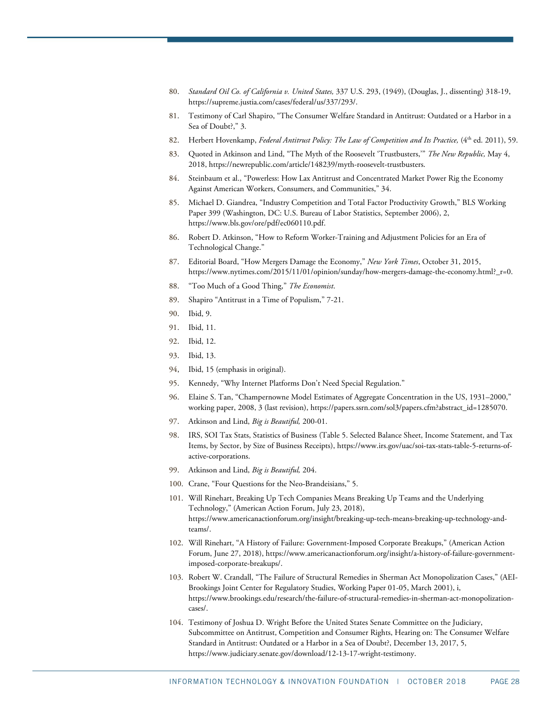- <span id="page-27-0"></span>80. *Standard Oil Co. of California v. United States,* 337 U.S. 293, (1949), (Douglas, J., dissenting) 318-19, [https://supreme.justia.com/cases/federal/us/337/293/.](https://supreme.justia.com/cases/federal/us/337/293/)
- <span id="page-27-1"></span>81. Testimony of Carl Shapiro, "The Consumer Welfare Standard in Antitrust: Outdated or a Harbor in a Sea of Doubt?," 3.
- <span id="page-27-2"></span>82. Herbert Hovenkamp, *Federal Antitrust Policy: The Law of Competition and Its Practice*, (4<sup>th</sup> ed. 2011), 59.
- <span id="page-27-3"></span>83. Quoted in Atkinson and Lind, "The Myth of the Roosevelt 'Trustbusters,'" *The New Republic,* May 4, 2018[, https://newrepublic.com/article/148239/myth-roosevelt-trustbusters.](https://newrepublic.com/article/148239/myth-roosevelt-trustbusters)
- <span id="page-27-4"></span>84. Steinbaum et al., "Powerless: How Lax Antitrust and Concentrated Market Power Rig the Economy Against American Workers, Consumers, and Communities," 34.
- <span id="page-27-5"></span>85. Michael D. Giandrea, "Industry Competition and Total Factor Productivity Growth," BLS Working Paper 399 (Washington, DC: U.S. Bureau of Labor Statistics, September 2006), 2, [https://www.bls.gov/ore/pdf/ec060110.pdf.](https://www.bls.gov/ore/pdf/ec060110.pdf)
- <span id="page-27-6"></span>86. Robert D. Atkinson, "How to Reform Worker-Training and Adjustment Policies for an Era of Technological Change."
- <span id="page-27-7"></span>87. Editorial Board, "How Mergers Damage the Economy," *New York Times*, October 31, 2015, [https://www.nytimes.com/2015/11/01/opinion/sunday/how-mergers-damage-the-economy.html?\\_r=0.](https://www.nytimes.com/2015/11/01/opinion/sunday/how-mergers-damage-the-economy.html?_r=0)
- <span id="page-27-8"></span>88. "Too Much of a Good Thing," *The Economist*.
- <span id="page-27-9"></span>89. Shapiro "Antitrust in a Time of Populism," 7-21.
- <span id="page-27-10"></span>90. Ibid, 9.
- <span id="page-27-11"></span>91. Ibid, 11.
- <span id="page-27-12"></span>92. Ibid, 12.
- <span id="page-27-13"></span>93. Ibid, 13.
- <span id="page-27-14"></span>94, Ibid, 15 (emphasis in original).
- <span id="page-27-15"></span>95. Kennedy, "Why Internet Platforms Don't Need Special Regulation."
- <span id="page-27-16"></span>96. Elaine S. Tan, "Champernowne Model Estimates of Aggregate Concentration in the US, 1931–2000," working paper, 2008, 3 (last revision), [https://papers.ssrn.com/sol3/papers.cfm?abstract\\_id=1285070.](https://papers.ssrn.com/sol3/papers.cfm?abstract_id=1285070)
- <span id="page-27-18"></span><span id="page-27-17"></span>97. Atkinson and Lind, *Big is Beautiful,* 200-01.
- 98. IRS, SOI Tax Stats, Statistics of Business (Table 5. Selected Balance Sheet, Income Statement, and Tax Items, by Sector, by Size of Business Receipts), [https://www.irs.gov/uac/soi-tax-stats-table-5-returns-of](https://www.irs.gov/uac/soi-tax-stats-table-5-returns-of-active-corporations)[active-corporations.](https://www.irs.gov/uac/soi-tax-stats-table-5-returns-of-active-corporations)
- <span id="page-27-19"></span>99. Atkinson and Lind, *Big is Beautiful,* 204.
- <span id="page-27-21"></span><span id="page-27-20"></span>100. Crane, "Four Questions for the Neo-Brandeisians," 5.
- 101. Will Rinehart, Breaking Up Tech Companies Means Breaking Up Teams and the Underlying Technology," (American Action Forum, July 23, 2018), [https://www.americanactionforum.org/insight/breaking-up-tech-means-breaking-up-technology-and](https://www.americanactionforum.org/insight/breaking-up-tech-means-breaking-up-technology-and-teams/)[teams/.](https://www.americanactionforum.org/insight/breaking-up-tech-means-breaking-up-technology-and-teams/)
- <span id="page-27-22"></span>102. Will Rinehart, "A History of Failure: Government-Imposed Corporate Breakups," (American Action Forum, June 27, 2018)[, https://www.americanactionforum.org/insight/a-history-of-failure-government](https://www.americanactionforum.org/insight/a-history-of-failure-government-imposed-corporate-breakups/)[imposed-corporate-breakups/.](https://www.americanactionforum.org/insight/a-history-of-failure-government-imposed-corporate-breakups/)
- <span id="page-27-23"></span>103. Robert W. Crandall, "The Failure of Structural Remedies in Sherman Act Monopolization Cases," (AEI-Brookings Joint Center for Regulatory Studies, Working Paper 01-05, March 2001), i, [https://www.brookings.edu/research/the-failure-of-structural-remedies-in-sherman-act-monopolization](https://www.brookings.edu/research/the-failure-of-structural-remedies-in-sherman-act-monopolization-cases/)[cases/.](https://www.brookings.edu/research/the-failure-of-structural-remedies-in-sherman-act-monopolization-cases/)
- <span id="page-27-24"></span>104. Testimony of Joshua D. Wright Before the United States Senate Committee on the Judiciary, Subcommittee on Antitrust, Competition and Consumer Rights, Hearing on: The Consumer Welfare Standard in Antitrust: Outdated or a Harbor in a Sea of Doubt?, December 13, 2017, 5, [https://www.judiciary.senate.gov/download/12-13-17-wright-testimony.](https://www.judiciary.senate.gov/download/12-13-17-wright-testimony)